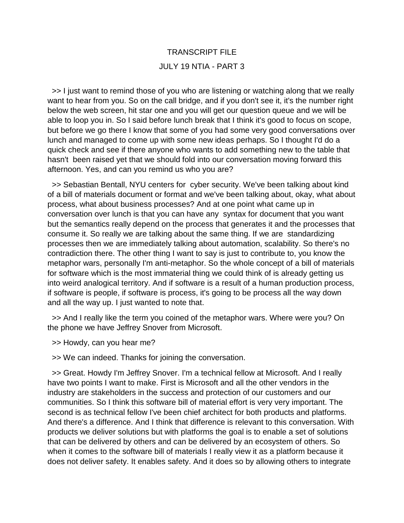# TRANSCRIPT FILE JULY 19 NTIA - PART 3

 >> I just want to remind those of you who are listening or watching along that we really want to hear from you. So on the call bridge, and if you don't see it, it's the number right below the web screen, hit star one and you will get our question queue and we will be able to loop you in. So I said before lunch break that I think it's good to focus on scope, but before we go there I know that some of you had some very good conversations over lunch and managed to come up with some new ideas perhaps. So I thought I'd do a quick check and see if there anyone who wants to add something new to the table that hasn't been raised yet that we should fold into our conversation moving forward this afternoon. Yes, and can you remind us who you are?

 >> Sebastian Bentall, NYU centers for cyber security. We've been talking about kind of a bill of materials document or format and we've been talking about, okay, what about process, what about business processes? And at one point what came up in conversation over lunch is that you can have any syntax for document that you want but the semantics really depend on the process that generates it and the processes that consume it. So really we are talking about the same thing. If we are standardizing processes then we are immediately talking about automation, scalability. So there's no contradiction there. The other thing I want to say is just to contribute to, you know the metaphor wars, personally I'm anti-metaphor. So the whole concept of a bill of materials for software which is the most immaterial thing we could think of is already getting us into weird analogical territory. And if software is a result of a human production process, if software is people, if software is process, it's going to be process all the way down and all the way up. I just wanted to note that.

 >> And I really like the term you coined of the metaphor wars. Where were you? On the phone we have Jeffrey Snover from Microsoft.

>> Howdy, can you hear me?

>> We can indeed. Thanks for joining the conversation.

 >> Great. Howdy I'm Jeffrey Snover. I'm a technical fellow at Microsoft. And I really have two points I want to make. First is Microsoft and all the other vendors in the industry are stakeholders in the success and protection of our customers and our communities. So I think this software bill of material effort is very very important. The second is as technical fellow I've been chief architect for both products and platforms. And there's a difference. And I think that difference is relevant to this conversation. With products we deliver solutions but with platforms the goal is to enable a set of solutions that can be delivered by others and can be delivered by an ecosystem of others. So when it comes to the software bill of materials I really view it as a platform because it does not deliver safety. It enables safety. And it does so by allowing others to integrate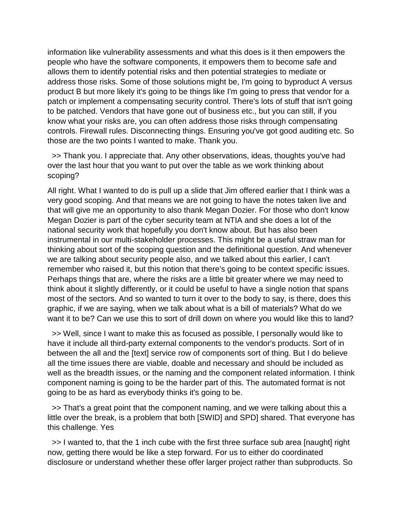information like vulnerability assessments and what this does is it then empowers the people who have the software components, it empowers them to become safe and allows them to identify potential risks and then potential strategies to mediate or address those risks. Some of those solutions might be, I'm going to byproduct A versus product B but more likely it's going to be things like I'm going to press that vendor for a patch or implement a compensating security control. There's lots of stuff that isn't going to be patched. Vendors that have gone out of business etc., but you can still, if you know what your risks are, you can often address those risks through compensating controls. Firewall rules. Disconnecting things. Ensuring you've got good auditing etc. So those are the two points I wanted to make. Thank you.

 >> Thank you. I appreciate that. Any other observations, ideas, thoughts you've had over the last hour that you want to put over the table as we work thinking about scoping?

All right. What I wanted to do is pull up a slide that Jim offered earlier that I think was a very good scoping. And that means we are not going to have the notes taken live and that will give me an opportunity to also thank Megan Dozier. For those who don't know Megan Dozier is part of the cyber security team at NTIA and she does a lot of the national security work that hopefully you don't know about. But has also been instrumental in our multi-stakeholder processes. This might be a useful straw man for thinking about sort of the scoping question and the definitional question. And whenever we are talking about security people also, and we talked about this earlier, I can't remember who raised it, but this notion that there's going to be context specific issues. Perhaps things that are, where the risks are a little bit greater where we may need to think about it slightly differently, or it could be useful to have a single notion that spans most of the sectors. And so wanted to turn it over to the body to say, is there, does this graphic, if we are saying, when we talk about what is a bill of materials? What do we want it to be? Can we use this to sort of drill down on where you would like this to land?

 >> Well, since I want to make this as focused as possible, I personally would like to have it include all third-party external components to the vendor's products. Sort of in between the all and the [text] service row of components sort of thing. But I do believe all the time issues there are viable, doable and necessary and should be included as well as the breadth issues, or the naming and the component related information. I think component naming is going to be the harder part of this. The automated format is not going to be as hard as everybody thinks it's going to be.

 >> That's a great point that the component naming, and we were talking about this a little over the break, is a problem that both [SWID] and SPD] shared. That everyone has this challenge. Yes

 >> I wanted to, that the 1 inch cube with the first three surface sub area [naught] right now, getting there would be like a step forward. For us to either do coordinated disclosure or understand whether these offer larger project rather than subproducts. So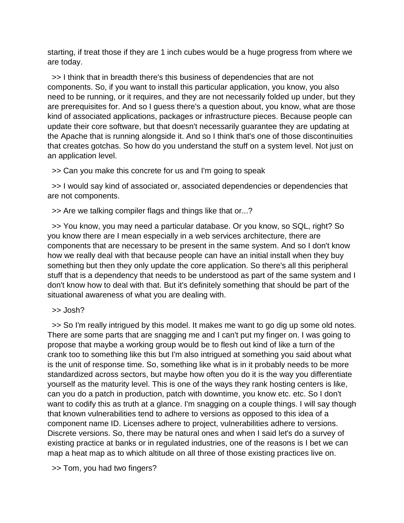starting, if treat those if they are 1 inch cubes would be a huge progress from where we are today.

 >> I think that in breadth there's this business of dependencies that are not components. So, if you want to install this particular application, you know, you also need to be running, or it requires, and they are not necessarily folded up under, but they are prerequisites for. And so I guess there's a question about, you know, what are those kind of associated applications, packages or infrastructure pieces. Because people can update their core software, but that doesn't necessarily guarantee they are updating at the Apache that is running alongside it. And so I think that's one of those discontinuities that creates gotchas. So how do you understand the stuff on a system level. Not just on an application level.

>> Can you make this concrete for us and I'm going to speak

 >> I would say kind of associated or, associated dependencies or dependencies that are not components.

>> Are we talking compiler flags and things like that or...?

 >> You know, you may need a particular database. Or you know, so SQL, right? So you know there are I mean especially in a web services architecture, there are components that are necessary to be present in the same system. And so I don't know how we really deal with that because people can have an initial install when they buy something but then they only update the core application. So there's all this peripheral stuff that is a dependency that needs to be understood as part of the same system and I don't know how to deal with that. But it's definitely something that should be part of the situational awareness of what you are dealing with.

>> Josh?

 >> So I'm really intrigued by this model. It makes me want to go dig up some old notes. There are some parts that are snagging me and I can't put my finger on. I was going to propose that maybe a working group would be to flesh out kind of like a turn of the crank too to something like this but I'm also intrigued at something you said about what is the unit of response time. So, something like what is in it probably needs to be more standardized across sectors, but maybe how often you do it is the way you differentiate yourself as the maturity level. This is one of the ways they rank hosting centers is like, can you do a patch in production, patch with downtime, you know etc. etc. So I don't want to codify this as truth at a glance. I'm snagging on a couple things. I will say though that known vulnerabilities tend to adhere to versions as opposed to this idea of a component name ID. Licenses adhere to project, vulnerabilities adhere to versions. Discrete versions. So, there may be natural ones and when I said let's do a survey of existing practice at banks or in regulated industries, one of the reasons is I bet we can map a heat map as to which altitude on all three of those existing practices live on.

>> Tom, you had two fingers?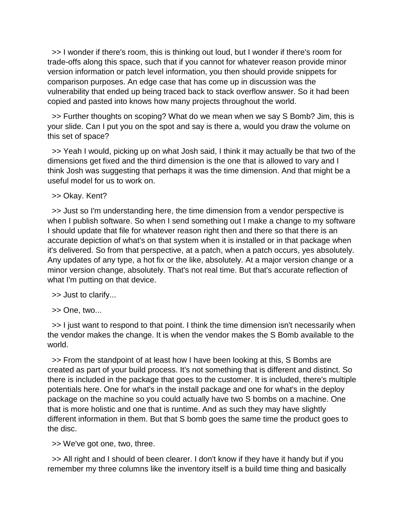>> I wonder if there's room, this is thinking out loud, but I wonder if there's room for trade-offs along this space, such that if you cannot for whatever reason provide minor version information or patch level information, you then should provide snippets for comparison purposes. An edge case that has come up in discussion was the vulnerability that ended up being traced back to stack overflow answer. So it had been copied and pasted into knows how many projects throughout the world.

 >> Further thoughts on scoping? What do we mean when we say S Bomb? Jim, this is your slide. Can I put you on the spot and say is there a, would you draw the volume on this set of space?

 >> Yeah I would, picking up on what Josh said, I think it may actually be that two of the dimensions get fixed and the third dimension is the one that is allowed to vary and I think Josh was suggesting that perhaps it was the time dimension. And that might be a useful model for us to work on.

>> Okay. Kent?

 >> Just so I'm understanding here, the time dimension from a vendor perspective is when I publish software. So when I send something out I make a change to my software I should update that file for whatever reason right then and there so that there is an accurate depiction of what's on that system when it is installed or in that package when it's delivered. So from that perspective, at a patch, when a patch occurs, yes absolutely. Any updates of any type, a hot fix or the like, absolutely. At a major version change or a minor version change, absolutely. That's not real time. But that's accurate reflection of what I'm putting on that device.

>> Just to clarify...

>> One, two...

 >> I just want to respond to that point. I think the time dimension isn't necessarily when the vendor makes the change. It is when the vendor makes the S Bomb available to the world.

 >> From the standpoint of at least how I have been looking at this, S Bombs are created as part of your build process. It's not something that is different and distinct. So there is included in the package that goes to the customer. It is included, there's multiple potentials here. One for what's in the install package and one for what's in the deploy package on the machine so you could actually have two S bombs on a machine. One that is more holistic and one that is runtime. And as such they may have slightly different information in them. But that S bomb goes the same time the product goes to the disc.

>> We've got one, two, three.

 >> All right and I should of been clearer. I don't know if they have it handy but if you remember my three columns like the inventory itself is a build time thing and basically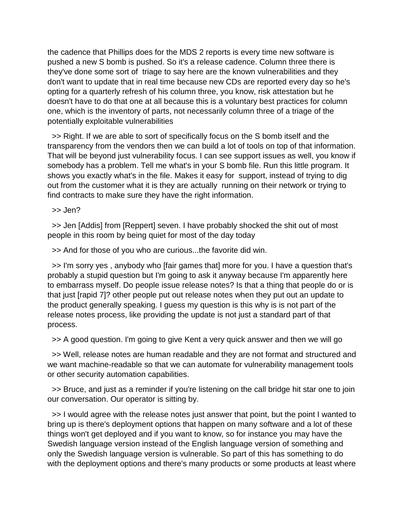the cadence that Phillips does for the MDS 2 reports is every time new software is pushed a new S bomb is pushed. So it's a release cadence. Column three there is they've done some sort of triage to say here are the known vulnerabilities and they don't want to update that in real time because new CDs are reported every day so he's opting for a quarterly refresh of his column three, you know, risk attestation but he doesn't have to do that one at all because this is a voluntary best practices for column one, which is the inventory of parts, not necessarily column three of a triage of the potentially exploitable vulnerabilities

 >> Right. If we are able to sort of specifically focus on the S bomb itself and the transparency from the vendors then we can build a lot of tools on top of that information. That will be beyond just vulnerability focus. I can see support issues as well, you know if somebody has a problem. Tell me what's in your S bomb file. Run this little program. It shows you exactly what's in the file. Makes it easy for support, instead of trying to dig out from the customer what it is they are actually running on their network or trying to find contracts to make sure they have the right information.

>> Jen?

 >> Jen [Addis] from [Reppert] seven. I have probably shocked the shit out of most people in this room by being quiet for most of the day today

>> And for those of you who are curious...the favorite did win.

 >> I'm sorry yes , anybody who [fair games that] more for you. I have a question that's probably a stupid question but I'm going to ask it anyway because I'm apparently here to embarrass myself. Do people issue release notes? Is that a thing that people do or is that just [rapid 7]? other people put out release notes when they put out an update to the product generally speaking. I guess my question is this why is is not part of the release notes process, like providing the update is not just a standard part of that process.

>> A good question. I'm going to give Kent a very quick answer and then we will go

 >> Well, release notes are human readable and they are not format and structured and we want machine-readable so that we can automate for vulnerability management tools or other security automation capabilities.

 >> Bruce, and just as a reminder if you're listening on the call bridge hit star one to join our conversation. Our operator is sitting by.

 >> I would agree with the release notes just answer that point, but the point I wanted to bring up is there's deployment options that happen on many software and a lot of these things won't get deployed and if you want to know, so for instance you may have the Swedish language version instead of the English language version of something and only the Swedish language version is vulnerable. So part of this has something to do with the deployment options and there's many products or some products at least where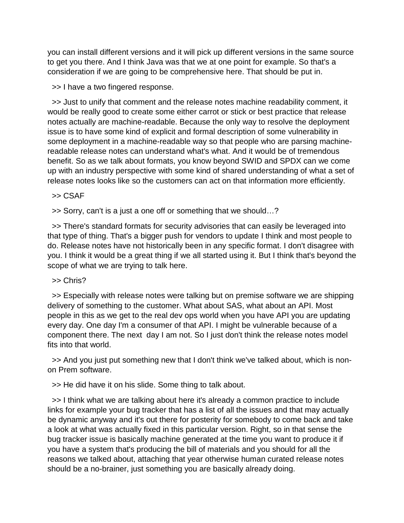you can install different versions and it will pick up different versions in the same source to get you there. And I think Java was that we at one point for example. So that's a consideration if we are going to be comprehensive here. That should be put in.

>> I have a two fingered response.

 >> Just to unify that comment and the release notes machine readability comment, it would be really good to create some either carrot or stick or best practice that release notes actually are machine-readable. Because the only way to resolve the deployment issue is to have some kind of explicit and formal description of some vulnerability in some deployment in a machine-readable way so that people who are parsing machinereadable release notes can understand what's what. And it would be of tremendous benefit. So as we talk about formats, you know beyond SWID and SPDX can we come up with an industry perspective with some kind of shared understanding of what a set of release notes looks like so the customers can act on that information more efficiently.

>> CSAF

>> Sorry, can't is a just a one off or something that we should…?

 >> There's standard formats for security advisories that can easily be leveraged into that type of thing. That's a bigger push for vendors to update I think and most people to do. Release notes have not historically been in any specific format. I don't disagree with you. I think it would be a great thing if we all started using it. But I think that's beyond the scope of what we are trying to talk here.

#### >> Chris?

 >> Especially with release notes were talking but on premise software we are shipping delivery of something to the customer. What about SAS, what about an API. Most people in this as we get to the real dev ops world when you have API you are updating every day. One day I'm a consumer of that API. I might be vulnerable because of a component there. The next day I am not. So I just don't think the release notes model fits into that world.

 >> And you just put something new that I don't think we've talked about, which is nonon Prem software.

>> He did have it on his slide. Some thing to talk about.

 >> I think what we are talking about here it's already a common practice to include links for example your bug tracker that has a list of all the issues and that may actually be dynamic anyway and it's out there for posterity for somebody to come back and take a look at what was actually fixed in this particular version. Right, so in that sense the bug tracker issue is basically machine generated at the time you want to produce it if you have a system that's producing the bill of materials and you should for all the reasons we talked about, attaching that year otherwise human curated release notes should be a no-brainer, just something you are basically already doing.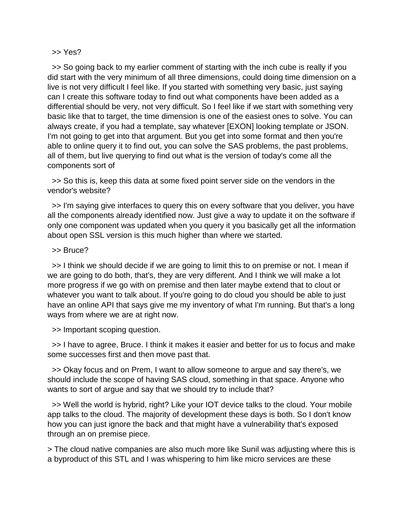#### >> Yes?

 >> So going back to my earlier comment of starting with the inch cube is really if you did start with the very minimum of all three dimensions, could doing time dimension on a live is not very difficult I feel like. If you started with something very basic, just saying can I create this software today to find out what components have been added as a differential should be very, not very difficult. So I feel like if we start with something very basic like that to target, the time dimension is one of the easiest ones to solve. You can always create, if you had a template, say whatever [EXON] looking template or JSON. I'm not going to get into that argument. But you get into some format and then you're able to online query it to find out, you can solve the SAS problems, the past problems, all of them, but live querying to find out what is the version of today's come all the components sort of

 >> So this is, keep this data at some fixed point server side on the vendors in the vendor's website?

 >> I'm saying give interfaces to query this on every software that you deliver, you have all the components already identified now. Just give a way to update it on the software if only one component was updated when you query it you basically get all the information about open SSL version is this much higher than where we started.

#### >> Bruce?

 >> I think we should decide if we are going to limit this to on premise or not. I mean if we are going to do both, that's, they are very different. And I think we will make a lot more progress if we go with on premise and then later maybe extend that to clout or whatever you want to talk about. If you're going to do cloud you should be able to just have an online API that says give me my inventory of what I'm running. But that's a long ways from where we are at right now.

>> Important scoping question.

 >> I have to agree, Bruce. I think it makes it easier and better for us to focus and make some successes first and then move past that.

 >> Okay focus and on Prem, I want to allow someone to argue and say there's, we should include the scope of having SAS cloud, something in that space. Anyone who wants to sort of argue and say that we should try to include that?

 >> Well the world is hybrid, right? Like your IOT device talks to the cloud. Your mobile app talks to the cloud. The majority of development these days is both. So I don't know how you can just ignore the back and that might have a vulnerability that's exposed through an on premise piece.

> The cloud native companies are also much more like Sunil was adjusting where this is a byproduct of this STL and I was whispering to him like micro services are these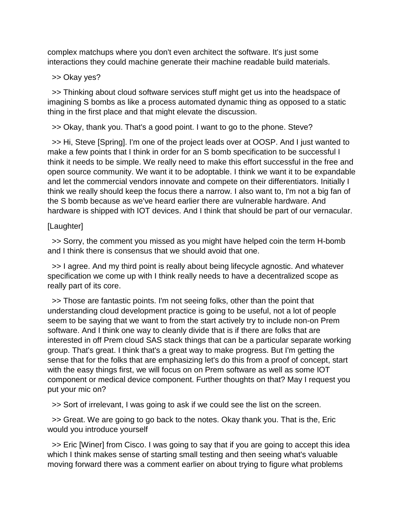complex matchups where you don't even architect the software. It's just some interactions they could machine generate their machine readable build materials.

>> Okay yes?

 >> Thinking about cloud software services stuff might get us into the headspace of imagining S bombs as like a process automated dynamic thing as opposed to a static thing in the first place and that might elevate the discussion.

>> Okay, thank you. That's a good point. I want to go to the phone. Steve?

 >> Hi, Steve [Spring]. I'm one of the project leads over at OOSP. And I just wanted to make a few points that I think in order for an S bomb specification to be successful I think it needs to be simple. We really need to make this effort successful in the free and open source community. We want it to be adoptable. I think we want it to be expandable and let the commercial vendors innovate and compete on their differentiators. Initially I think we really should keep the focus there a narrow. I also want to, I'm not a big fan of the S bomb because as we've heard earlier there are vulnerable hardware. And hardware is shipped with IOT devices. And I think that should be part of our vernacular.

# [Laughter]

 >> Sorry, the comment you missed as you might have helped coin the term H-bomb and I think there is consensus that we should avoid that one.

 >> I agree. And my third point is really about being lifecycle agnostic. And whatever specification we come up with I think really needs to have a decentralized scope as really part of its core.

 >> Those are fantastic points. I'm not seeing folks, other than the point that understanding cloud development practice is going to be useful, not a lot of people seem to be saying that we want to from the start actively try to include non-on Prem software. And I think one way to cleanly divide that is if there are folks that are interested in off Prem cloud SAS stack things that can be a particular separate working group. That's great. I think that's a great way to make progress. But I'm getting the sense that for the folks that are emphasizing let's do this from a proof of concept, start with the easy things first, we will focus on on Prem software as well as some IOT component or medical device component. Further thoughts on that? May I request you put your mic on?

>> Sort of irrelevant, I was going to ask if we could see the list on the screen.

 >> Great. We are going to go back to the notes. Okay thank you. That is the, Eric would you introduce yourself

 >> Eric [Winer] from Cisco. I was going to say that if you are going to accept this idea which I think makes sense of starting small testing and then seeing what's valuable moving forward there was a comment earlier on about trying to figure what problems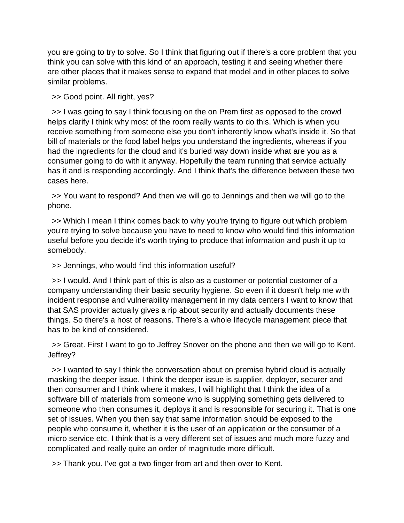you are going to try to solve. So I think that figuring out if there's a core problem that you think you can solve with this kind of an approach, testing it and seeing whether there are other places that it makes sense to expand that model and in other places to solve similar problems.

>> Good point. All right, yes?

 >> I was going to say I think focusing on the on Prem first as opposed to the crowd helps clarify I think why most of the room really wants to do this. Which is when you receive something from someone else you don't inherently know what's inside it. So that bill of materials or the food label helps you understand the ingredients, whereas if you had the ingredients for the cloud and it's buried way down inside what are you as a consumer going to do with it anyway. Hopefully the team running that service actually has it and is responding accordingly. And I think that's the difference between these two cases here.

 >> You want to respond? And then we will go to Jennings and then we will go to the phone.

 >> Which I mean I think comes back to why you're trying to figure out which problem you're trying to solve because you have to need to know who would find this information useful before you decide it's worth trying to produce that information and push it up to somebody.

>> Jennings, who would find this information useful?

 >> I would. And I think part of this is also as a customer or potential customer of a company understanding their basic security hygiene. So even if it doesn't help me with incident response and vulnerability management in my data centers I want to know that that SAS provider actually gives a rip about security and actually documents these things. So there's a host of reasons. There's a whole lifecycle management piece that has to be kind of considered.

 >> Great. First I want to go to Jeffrey Snover on the phone and then we will go to Kent. Jeffrey?

 >> I wanted to say I think the conversation about on premise hybrid cloud is actually masking the deeper issue. I think the deeper issue is supplier, deployer, securer and then consumer and I think where it makes, I will highlight that I think the idea of a software bill of materials from someone who is supplying something gets delivered to someone who then consumes it, deploys it and is responsible for securing it. That is one set of issues. When you then say that same information should be exposed to the people who consume it, whether it is the user of an application or the consumer of a micro service etc. I think that is a very different set of issues and much more fuzzy and complicated and really quite an order of magnitude more difficult.

>> Thank you. I've got a two finger from art and then over to Kent.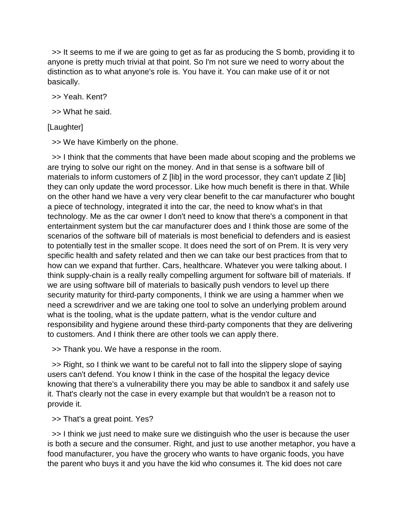>> It seems to me if we are going to get as far as producing the S bomb, providing it to anyone is pretty much trivial at that point. So I'm not sure we need to worry about the distinction as to what anyone's role is. You have it. You can make use of it or not basically.

>> Yeah. Kent?

>> What he said.

## [Laughter]

>> We have Kimberly on the phone.

 >> I think that the comments that have been made about scoping and the problems we are trying to solve our right on the money. And in that sense is a software bill of materials to inform customers of  $Z$  [lib] in the word processor, they can't update  $Z$  [lib] they can only update the word processor. Like how much benefit is there in that. While on the other hand we have a very very clear benefit to the car manufacturer who bought a piece of technology, integrated it into the car, the need to know what's in that technology. Me as the car owner I don't need to know that there's a component in that entertainment system but the car manufacturer does and I think those are some of the scenarios of the software bill of materials is most beneficial to defenders and is easiest to potentially test in the smaller scope. It does need the sort of on Prem. It is very very specific health and safety related and then we can take our best practices from that to how can we expand that further. Cars, healthcare. Whatever you were talking about. I think supply-chain is a really really compelling argument for software bill of materials. If we are using software bill of materials to basically push vendors to level up there security maturity for third-party components, I think we are using a hammer when we need a screwdriver and we are taking one tool to solve an underlying problem around what is the tooling, what is the update pattern, what is the vendor culture and responsibility and hygiene around these third-party components that they are delivering to customers. And I think there are other tools we can apply there.

>> Thank you. We have a response in the room.

 >> Right, so I think we want to be careful not to fall into the slippery slope of saying users can't defend. You know I think in the case of the hospital the legacy device knowing that there's a vulnerability there you may be able to sandbox it and safely use it. That's clearly not the case in every example but that wouldn't be a reason not to provide it.

>> That's a great point. Yes?

 >> I think we just need to make sure we distinguish who the user is because the user is both a secure and the consumer. Right, and just to use another metaphor, you have a food manufacturer, you have the grocery who wants to have organic foods, you have the parent who buys it and you have the kid who consumes it. The kid does not care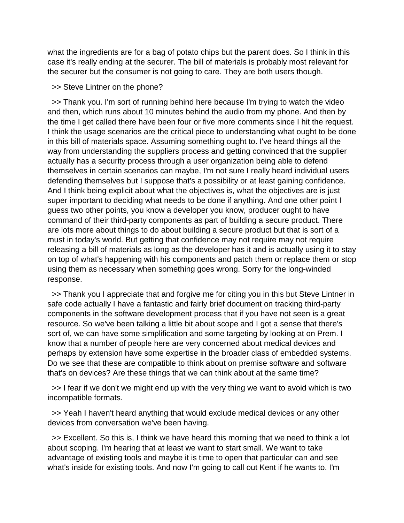what the ingredients are for a bag of potato chips but the parent does. So I think in this case it's really ending at the securer. The bill of materials is probably most relevant for the securer but the consumer is not going to care. They are both users though.

>> Steve Lintner on the phone?

 >> Thank you. I'm sort of running behind here because I'm trying to watch the video and then, which runs about 10 minutes behind the audio from my phone. And then by the time I get called there have been four or five more comments since I hit the request. I think the usage scenarios are the critical piece to understanding what ought to be done in this bill of materials space. Assuming something ought to. I've heard things all the way from understanding the suppliers process and getting convinced that the supplier actually has a security process through a user organization being able to defend themselves in certain scenarios can maybe, I'm not sure I really heard individual users defending themselves but I suppose that's a possibility or at least gaining confidence. And I think being explicit about what the objectives is, what the objectives are is just super important to deciding what needs to be done if anything. And one other point I guess two other points, you know a developer you know, producer ought to have command of their third-party components as part of building a secure product. There are lots more about things to do about building a secure product but that is sort of a must in today's world. But getting that confidence may not require may not require releasing a bill of materials as long as the developer has it and is actually using it to stay on top of what's happening with his components and patch them or replace them or stop using them as necessary when something goes wrong. Sorry for the long-winded response.

 >> Thank you I appreciate that and forgive me for citing you in this but Steve Lintner in safe code actually I have a fantastic and fairly brief document on tracking third-party components in the software development process that if you have not seen is a great resource. So we've been talking a little bit about scope and I got a sense that there's sort of, we can have some simplification and some targeting by looking at on Prem. I know that a number of people here are very concerned about medical devices and perhaps by extension have some expertise in the broader class of embedded systems. Do we see that these are compatible to think about on premise software and software that's on devices? Are these things that we can think about at the same time?

 >> I fear if we don't we might end up with the very thing we want to avoid which is two incompatible formats.

>> Yeah I haven't heard anything that would exclude medical devices or any other devices from conversation we've been having.

 >> Excellent. So this is, I think we have heard this morning that we need to think a lot about scoping. I'm hearing that at least we want to start small. We want to take advantage of existing tools and maybe it is time to open that particular can and see what's inside for existing tools. And now I'm going to call out Kent if he wants to. I'm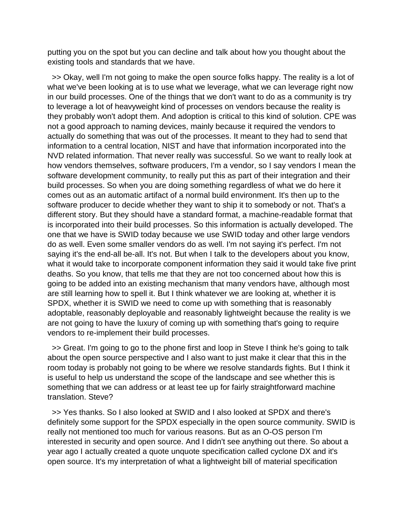putting you on the spot but you can decline and talk about how you thought about the existing tools and standards that we have.

 >> Okay, well I'm not going to make the open source folks happy. The reality is a lot of what we've been looking at is to use what we leverage, what we can leverage right now in our build processes. One of the things that we don't want to do as a community is try to leverage a lot of heavyweight kind of processes on vendors because the reality is they probably won't adopt them. And adoption is critical to this kind of solution. CPE was not a good approach to naming devices, mainly because it required the vendors to actually do something that was out of the processes. It meant to they had to send that information to a central location, NIST and have that information incorporated into the NVD related information. That never really was successful. So we want to really look at how vendors themselves, software producers, I'm a vendor, so I say vendors I mean the software development community, to really put this as part of their integration and their build processes. So when you are doing something regardless of what we do here it comes out as an automatic artifact of a normal build environment. It's then up to the software producer to decide whether they want to ship it to somebody or not. That's a different story. But they should have a standard format, a machine-readable format that is incorporated into their build processes. So this information is actually developed. The one that we have is SWID today because we use SWID today and other large vendors do as well. Even some smaller vendors do as well. I'm not saying it's perfect. I'm not saying it's the end-all be-all. It's not. But when I talk to the developers about you know, what it would take to incorporate component information they said it would take five print deaths. So you know, that tells me that they are not too concerned about how this is going to be added into an existing mechanism that many vendors have, although most are still learning how to spell it. But I think whatever we are looking at, whether it is SPDX, whether it is SWID we need to come up with something that is reasonably adoptable, reasonably deployable and reasonably lightweight because the reality is we are not going to have the luxury of coming up with something that's going to require vendors to re-implement their build processes.

 >> Great. I'm going to go to the phone first and loop in Steve I think he's going to talk about the open source perspective and I also want to just make it clear that this in the room today is probably not going to be where we resolve standards fights. But I think it is useful to help us understand the scope of the landscape and see whether this is something that we can address or at least tee up for fairly straightforward machine translation. Steve?

 >> Yes thanks. So I also looked at SWID and I also looked at SPDX and there's definitely some support for the SPDX especially in the open source community. SWID is really not mentioned too much for various reasons. But as an O-OS person I'm interested in security and open source. And I didn't see anything out there. So about a year ago I actually created a quote unquote specification called cyclone DX and it's open source. It's my interpretation of what a lightweight bill of material specification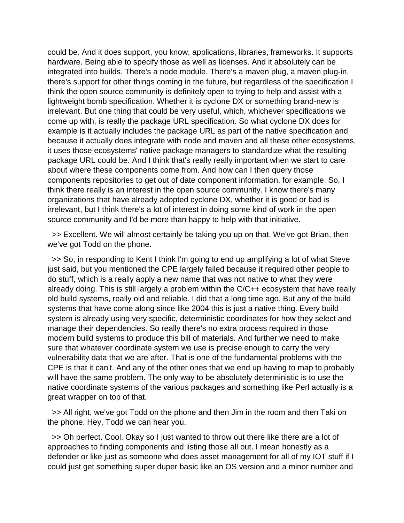could be. And it does support, you know, applications, libraries, frameworks. It supports hardware. Being able to specify those as well as licenses. And it absolutely can be integrated into builds. There's a node module. There's a maven plug, a maven plug-in, there's support for other things coming in the future, but regardless of the specification I think the open source community is definitely open to trying to help and assist with a lightweight bomb specification. Whether it is cyclone DX or something brand-new is irrelevant. But one thing that could be very useful, which, whichever specifications we come up with, is really the package URL specification. So what cyclone DX does for example is it actually includes the package URL as part of the native specification and because it actually does integrate with node and maven and all these other ecosystems, it uses those ecosystems' native package managers to standardize what the resulting package URL could be. And I think that's really really important when we start to care about where these components come from. And how can I then query those components repositories to get out of date component information, for example. So, I think there really is an interest in the open source community. I know there's many organizations that have already adopted cyclone DX, whether it is good or bad is irrelevant, but I think there's a lot of interest in doing some kind of work in the open source community and I'd be more than happy to help with that initiative.

 >> Excellent. We will almost certainly be taking you up on that. We've got Brian, then we've got Todd on the phone.

 >> So, in responding to Kent I think I'm going to end up amplifying a lot of what Steve just said, but you mentioned the CPE largely failed because it required other people to do stuff, which is a really apply a new name that was not native to what they were already doing. This is still largely a problem within the C/C++ ecosystem that have really old build systems, really old and reliable. I did that a long time ago. But any of the build systems that have come along since like 2004 this is just a native thing. Every build system is already using very specific, deterministic coordinates for how they select and manage their dependencies. So really there's no extra process required in those modern build systems to produce this bill of materials. And further we need to make sure that whatever coordinate system we use is precise enough to carry the very vulnerability data that we are after. That is one of the fundamental problems with the CPE is that it can't. And any of the other ones that we end up having to map to probably will have the same problem. The only way to be absolutely deterministic is to use the native coordinate systems of the various packages and something like Perl actually is a great wrapper on top of that.

 >> All right, we've got Todd on the phone and then Jim in the room and then Taki on the phone. Hey, Todd we can hear you.

 >> Oh perfect. Cool. Okay so I just wanted to throw out there like there are a lot of approaches to finding components and listing those all out. I mean honestly as a defender or like just as someone who does asset management for all of my IOT stuff if I could just get something super duper basic like an OS version and a minor number and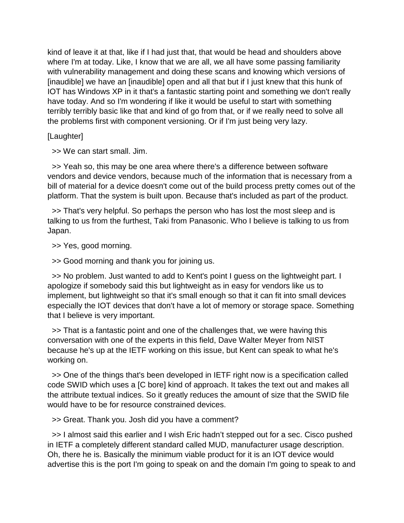kind of leave it at that, like if I had just that, that would be head and shoulders above where I'm at today. Like, I know that we are all, we all have some passing familiarity with vulnerability management and doing these scans and knowing which versions of [inaudible] we have an [inaudible] open and all that but if I just knew that this hunk of IOT has Windows XP in it that's a fantastic starting point and something we don't really have today. And so I'm wondering if like it would be useful to start with something terribly terribly basic like that and kind of go from that, or if we really need to solve all the problems first with component versioning. Or if I'm just being very lazy.

[Laughter]

>> We can start small. Jim.

 >> Yeah so, this may be one area where there's a difference between software vendors and device vendors, because much of the information that is necessary from a bill of material for a device doesn't come out of the build process pretty comes out of the platform. That the system is built upon. Because that's included as part of the product.

 >> That's very helpful. So perhaps the person who has lost the most sleep and is talking to us from the furthest, Taki from Panasonic. Who I believe is talking to us from Japan.

>> Yes, good morning.

>> Good morning and thank you for joining us.

 >> No problem. Just wanted to add to Kent's point I guess on the lightweight part. I apologize if somebody said this but lightweight as in easy for vendors like us to implement, but lightweight so that it's small enough so that it can fit into small devices especially the IOT devices that don't have a lot of memory or storage space. Something that I believe is very important.

 >> That is a fantastic point and one of the challenges that, we were having this conversation with one of the experts in this field, Dave Walter Meyer from NIST because he's up at the IETF working on this issue, but Kent can speak to what he's working on.

 >> One of the things that's been developed in IETF right now is a specification called code SWID which uses a [C bore] kind of approach. It takes the text out and makes all the attribute textual indices. So it greatly reduces the amount of size that the SWID file would have to be for resource constrained devices.

>> Great. Thank you. Josh did you have a comment?

 >> I almost said this earlier and I wish Eric hadn't stepped out for a sec. Cisco pushed in IETF a completely different standard called MUD, manufacturer usage description. Oh, there he is. Basically the minimum viable product for it is an IOT device would advertise this is the port I'm going to speak on and the domain I'm going to speak to and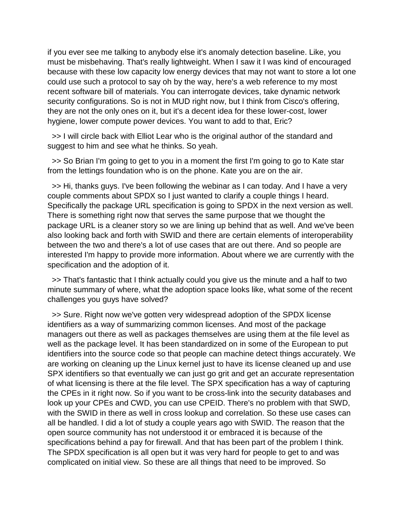if you ever see me talking to anybody else it's anomaly detection baseline. Like, you must be misbehaving. That's really lightweight. When I saw it I was kind of encouraged because with these low capacity low energy devices that may not want to store a lot one could use such a protocol to say oh by the way, here's a web reference to my most recent software bill of materials. You can interrogate devices, take dynamic network security configurations. So is not in MUD right now, but I think from Cisco's offering, they are not the only ones on it, but it's a decent idea for these lower-cost, lower hygiene, lower compute power devices. You want to add to that, Eric?

 >> I will circle back with Elliot Lear who is the original author of the standard and suggest to him and see what he thinks. So yeah.

 >> So Brian I'm going to get to you in a moment the first I'm going to go to Kate star from the lettings foundation who is on the phone. Kate you are on the air.

 >> Hi, thanks guys. I've been following the webinar as I can today. And I have a very couple comments about SPDX so I just wanted to clarify a couple things I heard. Specifically the package URL specification is going to SPDX in the next version as well. There is something right now that serves the same purpose that we thought the package URL is a cleaner story so we are lining up behind that as well. And we've been also looking back and forth with SWID and there are certain elements of interoperability between the two and there's a lot of use cases that are out there. And so people are interested I'm happy to provide more information. About where we are currently with the specification and the adoption of it.

 >> That's fantastic that I think actually could you give us the minute and a half to two minute summary of where, what the adoption space looks like, what some of the recent challenges you guys have solved?

 >> Sure. Right now we've gotten very widespread adoption of the SPDX license identifiers as a way of summarizing common licenses. And most of the package managers out there as well as packages themselves are using them at the file level as well as the package level. It has been standardized on in some of the European to put identifiers into the source code so that people can machine detect things accurately. We are working on cleaning up the Linux kernel just to have its license cleaned up and use SPX identifiers so that eventually we can just go grit and get an accurate representation of what licensing is there at the file level. The SPX specification has a way of capturing the CPEs in it right now. So if you want to be cross-link into the security databases and look up your CPEs and CWD, you can use CPEID. There's no problem with that SWD, with the SWID in there as well in cross lookup and correlation. So these use cases can all be handled. I did a lot of study a couple years ago with SWID. The reason that the open source community has not understood it or embraced it is because of the specifications behind a pay for firewall. And that has been part of the problem I think. The SPDX specification is all open but it was very hard for people to get to and was complicated on initial view. So these are all things that need to be improved. So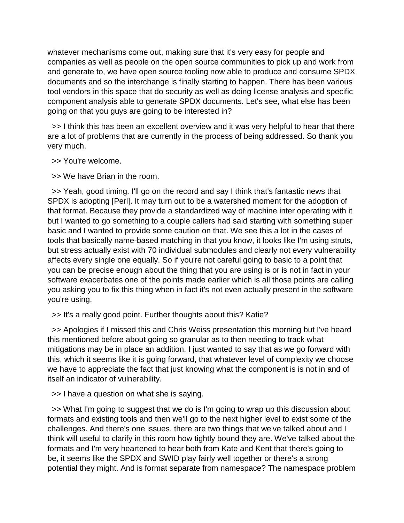whatever mechanisms come out, making sure that it's very easy for people and companies as well as people on the open source communities to pick up and work from and generate to, we have open source tooling now able to produce and consume SPDX documents and so the interchange is finally starting to happen. There has been various tool vendors in this space that do security as well as doing license analysis and specific component analysis able to generate SPDX documents. Let's see, what else has been going on that you guys are going to be interested in?

 >> I think this has been an excellent overview and it was very helpful to hear that there are a lot of problems that are currently in the process of being addressed. So thank you very much.

>> You're welcome.

>> We have Brian in the room.

 >> Yeah, good timing. I'll go on the record and say I think that's fantastic news that SPDX is adopting [Perl]. It may turn out to be a watershed moment for the adoption of that format. Because they provide a standardized way of machine inter operating with it but I wanted to go something to a couple callers had said starting with something super basic and I wanted to provide some caution on that. We see this a lot in the cases of tools that basically name-based matching in that you know, it looks like I'm using struts, but stress actually exist with 70 individual submodules and clearly not every vulnerability affects every single one equally. So if you're not careful going to basic to a point that you can be precise enough about the thing that you are using is or is not in fact in your software exacerbates one of the points made earlier which is all those points are calling you asking you to fix this thing when in fact it's not even actually present in the software you're using.

>> It's a really good point. Further thoughts about this? Katie?

 >> Apologies if I missed this and Chris Weiss presentation this morning but I've heard this mentioned before about going so granular as to then needing to track what mitigations may be in place an addition. I just wanted to say that as we go forward with this, which it seems like it is going forward, that whatever level of complexity we choose we have to appreciate the fact that just knowing what the component is is not in and of itself an indicator of vulnerability.

>> I have a question on what she is saying.

 >> What I'm going to suggest that we do is I'm going to wrap up this discussion about formats and existing tools and then we'll go to the next higher level to exist some of the challenges. And there's one issues, there are two things that we've talked about and I think will useful to clarify in this room how tightly bound they are. We've talked about the formats and I'm very heartened to hear both from Kate and Kent that there's going to be, it seems like the SPDX and SWID play fairly well together or there's a strong potential they might. And is format separate from namespace? The namespace problem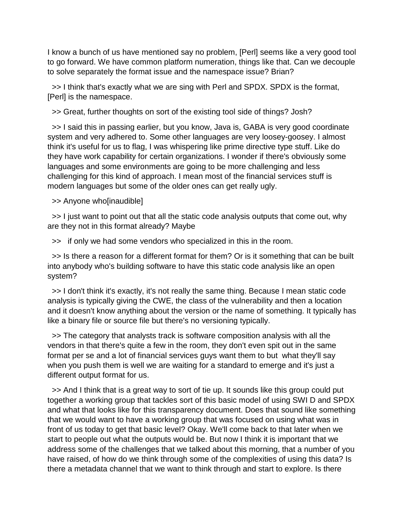I know a bunch of us have mentioned say no problem, [Perl] seems like a very good tool to go forward. We have common platform numeration, things like that. Can we decouple to solve separately the format issue and the namespace issue? Brian?

 >> I think that's exactly what we are sing with Perl and SPDX. SPDX is the format, [Perl] is the namespace.

>> Great, further thoughts on sort of the existing tool side of things? Josh?

 >> I said this in passing earlier, but you know, Java is, GABA is very good coordinate system and very adhered to. Some other languages are very loosey-goosey. I almost think it's useful for us to flag, I was whispering like prime directive type stuff. Like do they have work capability for certain organizations. I wonder if there's obviously some languages and some environments are going to be more challenging and less challenging for this kind of approach. I mean most of the financial services stuff is modern languages but some of the older ones can get really ugly.

>> Anyone who[inaudible]

 >> I just want to point out that all the static code analysis outputs that come out, why are they not in this format already? Maybe

>> if only we had some vendors who specialized in this in the room.

 >> Is there a reason for a different format for them? Or is it something that can be built into anybody who's building software to have this static code analysis like an open system?

 >> I don't think it's exactly, it's not really the same thing. Because I mean static code analysis is typically giving the CWE, the class of the vulnerability and then a location and it doesn't know anything about the version or the name of something. It typically has like a binary file or source file but there's no versioning typically.

 >> The category that analysts track is software composition analysis with all the vendors in that there's quite a few in the room, they don't even spit out in the same format per se and a lot of financial services guys want them to but what they'll say when you push them is well we are waiting for a standard to emerge and it's just a different output format for us.

 >> And I think that is a great way to sort of tie up. It sounds like this group could put together a working group that tackles sort of this basic model of using SWI D and SPDX and what that looks like for this transparency document. Does that sound like something that we would want to have a working group that was focused on using what was in front of us today to get that basic level? Okay. We'll come back to that later when we start to people out what the outputs would be. But now I think it is important that we address some of the challenges that we talked about this morning, that a number of you have raised, of how do we think through some of the complexities of using this data? Is there a metadata channel that we want to think through and start to explore. Is there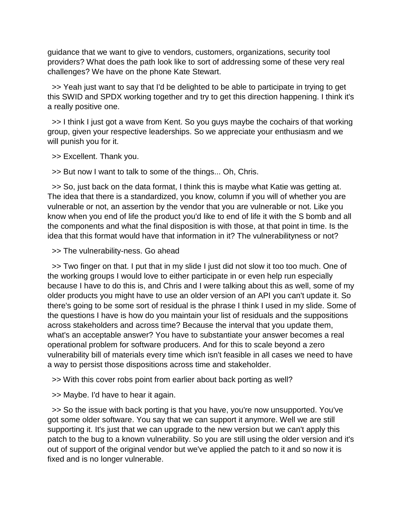guidance that we want to give to vendors, customers, organizations, security tool providers? What does the path look like to sort of addressing some of these very real challenges? We have on the phone Kate Stewart.

 >> Yeah just want to say that I'd be delighted to be able to participate in trying to get this SWID and SPDX working together and try to get this direction happening. I think it's a really positive one.

 >> I think I just got a wave from Kent. So you guys maybe the cochairs of that working group, given your respective leaderships. So we appreciate your enthusiasm and we will punish you for it.

>> Excellent. Thank you.

>> But now I want to talk to some of the things... Oh, Chris.

 >> So, just back on the data format, I think this is maybe what Katie was getting at. The idea that there is a standardized, you know, column if you will of whether you are vulnerable or not, an assertion by the vendor that you are vulnerable or not. Like you know when you end of life the product you'd like to end of life it with the S bomb and all the components and what the final disposition is with those, at that point in time. Is the idea that this format would have that information in it? The vulnerabilityness or not?

>> The vulnerability-ness. Go ahead

 >> Two finger on that. I put that in my slide I just did not slow it too too much. One of the working groups I would love to either participate in or even help run especially because I have to do this is, and Chris and I were talking about this as well, some of my older products you might have to use an older version of an API you can't update it. So there's going to be some sort of residual is the phrase I think I used in my slide. Some of the questions I have is how do you maintain your list of residuals and the suppositions across stakeholders and across time? Because the interval that you update them, what's an acceptable answer? You have to substantiate your answer becomes a real operational problem for software producers. And for this to scale beyond a zero vulnerability bill of materials every time which isn't feasible in all cases we need to have a way to persist those dispositions across time and stakeholder.

>> With this cover robs point from earlier about back porting as well?

>> Maybe. I'd have to hear it again.

 >> So the issue with back porting is that you have, you're now unsupported. You've got some older software. You say that we can support it anymore. Well we are still supporting it. It's just that we can upgrade to the new version but we can't apply this patch to the bug to a known vulnerability. So you are still using the older version and it's out of support of the original vendor but we've applied the patch to it and so now it is fixed and is no longer vulnerable.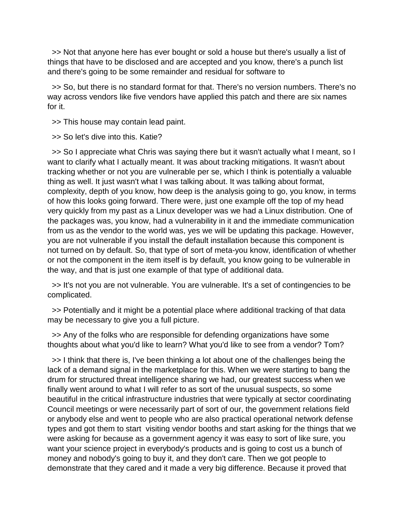>> Not that anyone here has ever bought or sold a house but there's usually a list of things that have to be disclosed and are accepted and you know, there's a punch list and there's going to be some remainder and residual for software to

 >> So, but there is no standard format for that. There's no version numbers. There's no way across vendors like five vendors have applied this patch and there are six names for it.

>> This house may contain lead paint.

>> So let's dive into this. Katie?

 >> So I appreciate what Chris was saying there but it wasn't actually what I meant, so I want to clarify what I actually meant. It was about tracking mitigations. It wasn't about tracking whether or not you are vulnerable per se, which I think is potentially a valuable thing as well. It just wasn't what I was talking about. It was talking about format, complexity, depth of you know, how deep is the analysis going to go, you know, in terms of how this looks going forward. There were, just one example off the top of my head very quickly from my past as a Linux developer was we had a Linux distribution. One of the packages was, you know, had a vulnerability in it and the immediate communication from us as the vendor to the world was, yes we will be updating this package. However, you are not vulnerable if you install the default installation because this component is not turned on by default. So, that type of sort of meta-you know, identification of whether or not the component in the item itself is by default, you know going to be vulnerable in the way, and that is just one example of that type of additional data.

 >> It's not you are not vulnerable. You are vulnerable. It's a set of contingencies to be complicated.

 >> Potentially and it might be a potential place where additional tracking of that data may be necessary to give you a full picture.

 >> Any of the folks who are responsible for defending organizations have some thoughts about what you'd like to learn? What you'd like to see from a vendor? Tom?

 >> I think that there is, I've been thinking a lot about one of the challenges being the lack of a demand signal in the marketplace for this. When we were starting to bang the drum for structured threat intelligence sharing we had, our greatest success when we finally went around to what I will refer to as sort of the unusual suspects, so some beautiful in the critical infrastructure industries that were typically at sector coordinating Council meetings or were necessarily part of sort of our, the government relations field or anybody else and went to people who are also practical operational network defense types and got them to start visiting vendor booths and start asking for the things that we were asking for because as a government agency it was easy to sort of like sure, you want your science project in everybody's products and is going to cost us a bunch of money and nobody's going to buy it, and they don't care. Then we got people to demonstrate that they cared and it made a very big difference. Because it proved that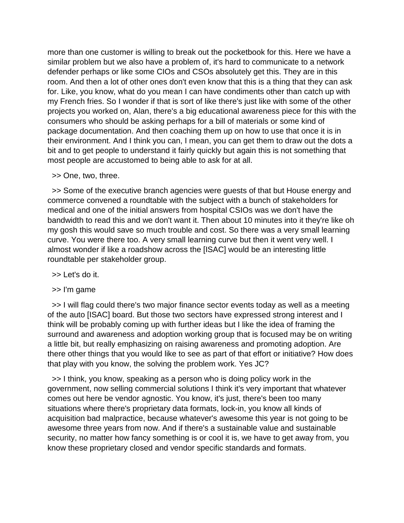more than one customer is willing to break out the pocketbook for this. Here we have a similar problem but we also have a problem of, it's hard to communicate to a network defender perhaps or like some CIOs and CSOs absolutely get this. They are in this room. And then a lot of other ones don't even know that this is a thing that they can ask for. Like, you know, what do you mean I can have condiments other than catch up with my French fries. So I wonder if that is sort of like there's just like with some of the other projects you worked on, Alan, there's a big educational awareness piece for this with the consumers who should be asking perhaps for a bill of materials or some kind of package documentation. And then coaching them up on how to use that once it is in their environment. And I think you can, I mean, you can get them to draw out the dots a bit and to get people to understand it fairly quickly but again this is not something that most people are accustomed to being able to ask for at all.

>> One, two, three.

 >> Some of the executive branch agencies were guests of that but House energy and commerce convened a roundtable with the subject with a bunch of stakeholders for medical and one of the initial answers from hospital CSIOs was we don't have the bandwidth to read this and we don't want it. Then about 10 minutes into it they're like oh my gosh this would save so much trouble and cost. So there was a very small learning curve. You were there too. A very small learning curve but then it went very well. I almost wonder if like a roadshow across the [ISAC] would be an interesting little roundtable per stakeholder group.

- >> Let's do it.
- >> I'm game

 >> I will flag could there's two major finance sector events today as well as a meeting of the auto [ISAC] board. But those two sectors have expressed strong interest and I think will be probably coming up with further ideas but I like the idea of framing the surround and awareness and adoption working group that is focused may be on writing a little bit, but really emphasizing on raising awareness and promoting adoption. Are there other things that you would like to see as part of that effort or initiative? How does that play with you know, the solving the problem work. Yes JC?

 >> I think, you know, speaking as a person who is doing policy work in the government, now selling commercial solutions I think it's very important that whatever comes out here be vendor agnostic. You know, it's just, there's been too many situations where there's proprietary data formats, lock-in, you know all kinds of acquisition bad malpractice, because whatever's awesome this year is not going to be awesome three years from now. And if there's a sustainable value and sustainable security, no matter how fancy something is or cool it is, we have to get away from, you know these proprietary closed and vendor specific standards and formats.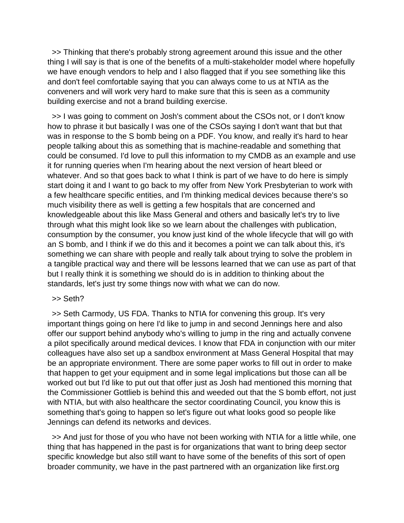>> Thinking that there's probably strong agreement around this issue and the other thing I will say is that is one of the benefits of a multi-stakeholder model where hopefully we have enough vendors to help and I also flagged that if you see something like this and don't feel comfortable saying that you can always come to us at NTIA as the conveners and will work very hard to make sure that this is seen as a community building exercise and not a brand building exercise.

 >> I was going to comment on Josh's comment about the CSOs not, or I don't know how to phrase it but basically I was one of the CSOs saying I don't want that but that was in response to the S bomb being on a PDF. You know, and really it's hard to hear people talking about this as something that is machine-readable and something that could be consumed. I'd love to pull this information to my CMDB as an example and use it for running queries when I'm hearing about the next version of heart bleed or whatever. And so that goes back to what I think is part of we have to do here is simply start doing it and I want to go back to my offer from New York Presbyterian to work with a few healthcare specific entities, and I'm thinking medical devices because there's so much visibility there as well is getting a few hospitals that are concerned and knowledgeable about this like Mass General and others and basically let's try to live through what this might look like so we learn about the challenges with publication, consumption by the consumer, you know just kind of the whole lifecycle that will go with an S bomb, and I think if we do this and it becomes a point we can talk about this, it's something we can share with people and really talk about trying to solve the problem in a tangible practical way and there will be lessons learned that we can use as part of that but I really think it is something we should do is in addition to thinking about the standards, let's just try some things now with what we can do now.

#### >> Seth?

 >> Seth Carmody, US FDA. Thanks to NTIA for convening this group. It's very important things going on here I'd like to jump in and second Jennings here and also offer our support behind anybody who's willing to jump in the ring and actually convene a pilot specifically around medical devices. I know that FDA in conjunction with our miter colleagues have also set up a sandbox environment at Mass General Hospital that may be an appropriate environment. There are some paper works to fill out in order to make that happen to get your equipment and in some legal implications but those can all be worked out but I'd like to put out that offer just as Josh had mentioned this morning that the Commissioner Gottlieb is behind this and weeded out that the S bomb effort, not just with NTIA, but with also healthcare the sector coordinating Council, you know this is something that's going to happen so let's figure out what looks good so people like Jennings can defend its networks and devices.

 >> And just for those of you who have not been working with NTIA for a little while, one thing that has happened in the past is for organizations that want to bring deep sector specific knowledge but also still want to have some of the benefits of this sort of open broader community, we have in the past partnered with an organization like first.org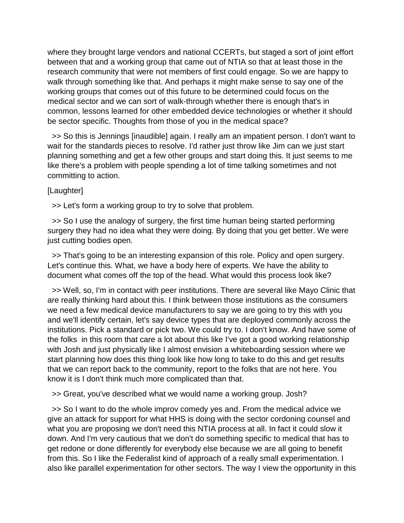where they brought large vendors and national CCERTs, but staged a sort of joint effort between that and a working group that came out of NTIA so that at least those in the research community that were not members of first could engage. So we are happy to walk through something like that. And perhaps it might make sense to say one of the working groups that comes out of this future to be determined could focus on the medical sector and we can sort of walk-through whether there is enough that's in common, lessons learned for other embedded device technologies or whether it should be sector specific. Thoughts from those of you in the medical space?

 >> So this is Jennings [inaudible] again. I really am an impatient person. I don't want to wait for the standards pieces to resolve. I'd rather just throw like Jim can we just start planning something and get a few other groups and start doing this. It just seems to me like there's a problem with people spending a lot of time talking sometimes and not committing to action.

## [Laughter]

>> Let's form a working group to try to solve that problem.

 >> So I use the analogy of surgery, the first time human being started performing surgery they had no idea what they were doing. By doing that you get better. We were just cutting bodies open.

 >> That's going to be an interesting expansion of this role. Policy and open surgery. Let's continue this. What, we have a body here of experts. We have the ability to document what comes off the top of the head. What would this process look like?

 >> Well, so, I'm in contact with peer institutions. There are several like Mayo Clinic that are really thinking hard about this. I think between those institutions as the consumers we need a few medical device manufacturers to say we are going to try this with you and we'll identify certain, let's say device types that are deployed commonly across the institutions. Pick a standard or pick two. We could try to. I don't know. And have some of the folks in this room that care a lot about this like I've got a good working relationship with Josh and just physically like I almost envision a whiteboarding session where we start planning how does this thing look like how long to take to do this and get results that we can report back to the community, report to the folks that are not here. You know it is I don't think much more complicated than that.

>> Great, you've described what we would name a working group. Josh?

 >> So I want to do the whole improv comedy yes and. From the medical advice we give an attack for support for what HHS is doing with the sector cordoning counsel and what you are proposing we don't need this NTIA process at all. In fact it could slow it down. And I'm very cautious that we don't do something specific to medical that has to get redone or done differently for everybody else because we are all going to benefit from this. So I like the Federalist kind of approach of a really small experimentation. I also like parallel experimentation for other sectors. The way I view the opportunity in this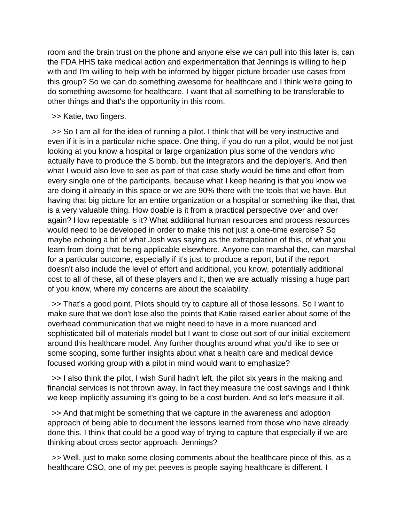room and the brain trust on the phone and anyone else we can pull into this later is, can the FDA HHS take medical action and experimentation that Jennings is willing to help with and I'm willing to help with be informed by bigger picture broader use cases from this group? So we can do something awesome for healthcare and I think we're going to do something awesome for healthcare. I want that all something to be transferable to other things and that's the opportunity in this room.

#### >> Katie, two fingers.

>> So I am all for the idea of running a pilot. I think that will be very instructive and even if it is in a particular niche space. One thing, if you do run a pilot, would be not just looking at you know a hospital or large organization plus some of the vendors who actually have to produce the S bomb, but the integrators and the deployer's. And then what I would also love to see as part of that case study would be time and effort from every single one of the participants, because what I keep hearing is that you know we are doing it already in this space or we are 90% there with the tools that we have. But having that big picture for an entire organization or a hospital or something like that, that is a very valuable thing. How doable is it from a practical perspective over and over again? How repeatable is it? What additional human resources and process resources would need to be developed in order to make this not just a one-time exercise? So maybe echoing a bit of what Josh was saying as the extrapolation of this, of what you learn from doing that being applicable elsewhere. Anyone can marshal the, can marshal for a particular outcome, especially if it's just to produce a report, but if the report doesn't also include the level of effort and additional, you know, potentially additional cost to all of these, all of these players and it, then we are actually missing a huge part of you know, where my concerns are about the scalability.

 >> That's a good point. Pilots should try to capture all of those lessons. So I want to make sure that we don't lose also the points that Katie raised earlier about some of the overhead communication that we might need to have in a more nuanced and sophisticated bill of materials model but I want to close out sort of our initial excitement around this healthcare model. Any further thoughts around what you'd like to see or some scoping, some further insights about what a health care and medical device focused working group with a pilot in mind would want to emphasize?

 >> I also think the pilot, I wish Sunil hadn't left, the pilot six years in the making and financial services is not thrown away. In fact they measure the cost savings and I think we keep implicitly assuming it's going to be a cost burden. And so let's measure it all.

 >> And that might be something that we capture in the awareness and adoption approach of being able to document the lessons learned from those who have already done this. I think that could be a good way of trying to capture that especially if we are thinking about cross sector approach. Jennings?

 >> Well, just to make some closing comments about the healthcare piece of this, as a healthcare CSO, one of my pet peeves is people saying healthcare is different. I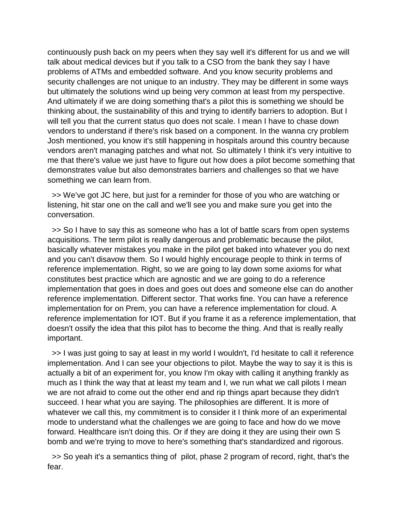continuously push back on my peers when they say well it's different for us and we will talk about medical devices but if you talk to a CSO from the bank they say I have problems of ATMs and embedded software. And you know security problems and security challenges are not unique to an industry. They may be different in some ways but ultimately the solutions wind up being very common at least from my perspective. And ultimately if we are doing something that's a pilot this is something we should be thinking about, the sustainability of this and trying to identify barriers to adoption. But I will tell you that the current status quo does not scale. I mean I have to chase down vendors to understand if there's risk based on a component. In the wanna cry problem Josh mentioned, you know it's still happening in hospitals around this country because vendors aren't managing patches and what not. So ultimately I think it's very intuitive to me that there's value we just have to figure out how does a pilot become something that demonstrates value but also demonstrates barriers and challenges so that we have something we can learn from.

 >> We've got JC here, but just for a reminder for those of you who are watching or listening, hit star one on the call and we'll see you and make sure you get into the conversation.

 >> So I have to say this as someone who has a lot of battle scars from open systems acquisitions. The term pilot is really dangerous and problematic because the pilot, basically whatever mistakes you make in the pilot get baked into whatever you do next and you can't disavow them. So I would highly encourage people to think in terms of reference implementation. Right, so we are going to lay down some axioms for what constitutes best practice which are agnostic and we are going to do a reference implementation that goes in does and goes out does and someone else can do another reference implementation. Different sector. That works fine. You can have a reference implementation for on Prem, you can have a reference implementation for cloud. A reference implementation for IOT. But if you frame it as a reference implementation, that doesn't ossify the idea that this pilot has to become the thing. And that is really really important.

 >> I was just going to say at least in my world I wouldn't, I'd hesitate to call it reference implementation. And I can see your objections to pilot. Maybe the way to say it is this is actually a bit of an experiment for, you know I'm okay with calling it anything frankly as much as I think the way that at least my team and I, we run what we call pilots I mean we are not afraid to come out the other end and rip things apart because they didn't succeed. I hear what you are saying. The philosophies are different. It is more of whatever we call this, my commitment is to consider it I think more of an experimental mode to understand what the challenges we are going to face and how do we move forward. Healthcare isn't doing this. Or if they are doing it they are using their own S bomb and we're trying to move to here's something that's standardized and rigorous.

 >> So yeah it's a semantics thing of pilot, phase 2 program of record, right, that's the fear.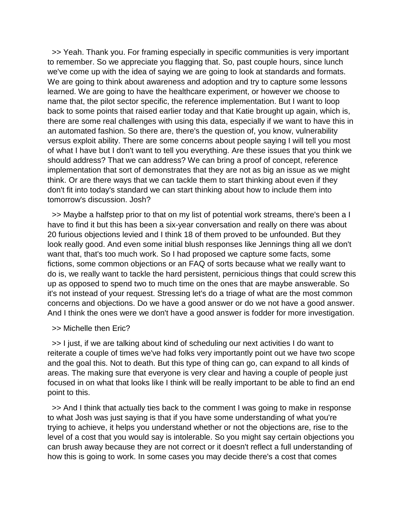>> Yeah. Thank you. For framing especially in specific communities is very important to remember. So we appreciate you flagging that. So, past couple hours, since lunch we've come up with the idea of saying we are going to look at standards and formats. We are going to think about awareness and adoption and try to capture some lessons learned. We are going to have the healthcare experiment, or however we choose to name that, the pilot sector specific, the reference implementation. But I want to loop back to some points that raised earlier today and that Katie brought up again, which is, there are some real challenges with using this data, especially if we want to have this in an automated fashion. So there are, there's the question of, you know, vulnerability versus exploit ability. There are some concerns about people saying I will tell you most of what I have but I don't want to tell you everything. Are these issues that you think we should address? That we can address? We can bring a proof of concept, reference implementation that sort of demonstrates that they are not as big an issue as we might think. Or are there ways that we can tackle them to start thinking about even if they don't fit into today's standard we can start thinking about how to include them into tomorrow's discussion. Josh?

 >> Maybe a halfstep prior to that on my list of potential work streams, there's been a I have to find it but this has been a six-year conversation and really on there was about 20 furious objections levied and I think 18 of them proved to be unfounded. But they look really good. And even some initial blush responses like Jennings thing all we don't want that, that's too much work. So I had proposed we capture some facts, some fictions, some common objections or an FAQ of sorts because what we really want to do is, we really want to tackle the hard persistent, pernicious things that could screw this up as opposed to spend two to much time on the ones that are maybe answerable. So it's not instead of your request. Stressing let's do a triage of what are the most common concerns and objections. Do we have a good answer or do we not have a good answer. And I think the ones were we don't have a good answer is fodder for more investigation.

#### >> Michelle then Eric?

 >> I just, if we are talking about kind of scheduling our next activities I do want to reiterate a couple of times we've had folks very importantly point out we have two scope and the goal this. Not to death. But this type of thing can go, can expand to all kinds of areas. The making sure that everyone is very clear and having a couple of people just focused in on what that looks like I think will be really important to be able to find an end point to this.

 >> And I think that actually ties back to the comment I was going to make in response to what Josh was just saying is that if you have some understanding of what you're trying to achieve, it helps you understand whether or not the objections are, rise to the level of a cost that you would say is intolerable. So you might say certain objections you can brush away because they are not correct or it doesn't reflect a full understanding of how this is going to work. In some cases you may decide there's a cost that comes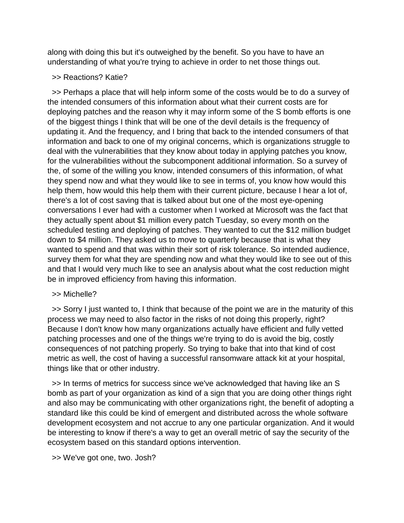along with doing this but it's outweighed by the benefit. So you have to have an understanding of what you're trying to achieve in order to net those things out.

>> Reactions? Katie?

 >> Perhaps a place that will help inform some of the costs would be to do a survey of the intended consumers of this information about what their current costs are for deploying patches and the reason why it may inform some of the S bomb efforts is one of the biggest things I think that will be one of the devil details is the frequency of updating it. And the frequency, and I bring that back to the intended consumers of that information and back to one of my original concerns, which is organizations struggle to deal with the vulnerabilities that they know about today in applying patches you know, for the vulnerabilities without the subcomponent additional information. So a survey of the, of some of the willing you know, intended consumers of this information, of what they spend now and what they would like to see in terms of, you know how would this help them, how would this help them with their current picture, because I hear a lot of, there's a lot of cost saving that is talked about but one of the most eye-opening conversations I ever had with a customer when I worked at Microsoft was the fact that they actually spent about \$1 million every patch Tuesday, so every month on the scheduled testing and deploying of patches. They wanted to cut the \$12 million budget down to \$4 million. They asked us to move to quarterly because that is what they wanted to spend and that was within their sort of risk tolerance. So intended audience, survey them for what they are spending now and what they would like to see out of this and that I would very much like to see an analysis about what the cost reduction might be in improved efficiency from having this information.

## >> Michelle?

 >> Sorry I just wanted to, I think that because of the point we are in the maturity of this process we may need to also factor in the risks of not doing this properly, right? Because I don't know how many organizations actually have efficient and fully vetted patching processes and one of the things we're trying to do is avoid the big, costly consequences of not patching properly. So trying to bake that into that kind of cost metric as well, the cost of having a successful ransomware attack kit at your hospital, things like that or other industry.

 >> In terms of metrics for success since we've acknowledged that having like an S bomb as part of your organization as kind of a sign that you are doing other things right and also may be communicating with other organizations right, the benefit of adopting a standard like this could be kind of emergent and distributed across the whole software development ecosystem and not accrue to any one particular organization. And it would be interesting to know if there's a way to get an overall metric of say the security of the ecosystem based on this standard options intervention.

>> We've got one, two. Josh?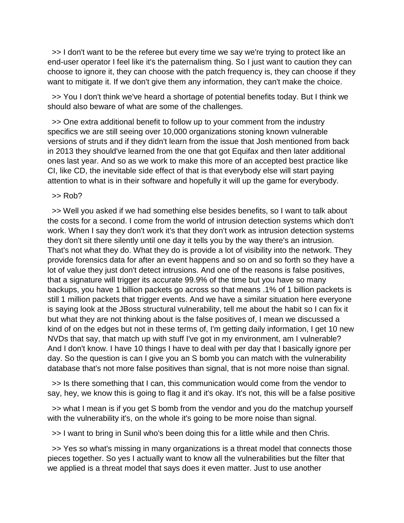>> I don't want to be the referee but every time we say we're trying to protect like an end-user operator I feel like it's the paternalism thing. So I just want to caution they can choose to ignore it, they can choose with the patch frequency is, they can choose if they want to mitigate it. If we don't give them any information, they can't make the choice.

 >> You I don't think we've heard a shortage of potential benefits today. But I think we should also beware of what are some of the challenges.

 >> One extra additional benefit to follow up to your comment from the industry specifics we are still seeing over 10,000 organizations stoning known vulnerable versions of struts and if they didn't learn from the issue that Josh mentioned from back in 2013 they should've learned from the one that got Equifax and then later additional ones last year. And so as we work to make this more of an accepted best practice like CI, like CD, the inevitable side effect of that is that everybody else will start paying attention to what is in their software and hopefully it will up the game for everybody.

 $>>$  Rob?

 >> Well you asked if we had something else besides benefits, so I want to talk about the costs for a second. I come from the world of intrusion detection systems which don't work. When I say they don't work it's that they don't work as intrusion detection systems they don't sit there silently until one day it tells you by the way there's an intrusion. That's not what they do. What they do is provide a lot of visibility into the network. They provide forensics data for after an event happens and so on and so forth so they have a lot of value they just don't detect intrusions. And one of the reasons is false positives, that a signature will trigger its accurate 99.9% of the time but you have so many backups, you have 1 billion packets go across so that means .1% of 1 billion packets is still 1 million packets that trigger events. And we have a similar situation here everyone is saying look at the JBoss structural vulnerability, tell me about the habit so I can fix it but what they are not thinking about is the false positives of, I mean we discussed a kind of on the edges but not in these terms of, I'm getting daily information, I get 10 new NVDs that say, that match up with stuff I've got in my environment, am I vulnerable? And I don't know. I have 10 things I have to deal with per day that I basically ignore per day. So the question is can I give you an S bomb you can match with the vulnerability database that's not more false positives than signal, that is not more noise than signal.

 >> Is there something that I can, this communication would come from the vendor to say, hey, we know this is going to flag it and it's okay. It's not, this will be a false positive

 >> what I mean is if you get S bomb from the vendor and you do the matchup yourself with the vulnerability it's, on the whole it's going to be more noise than signal.

>> I want to bring in Sunil who's been doing this for a little while and then Chris.

 >> Yes so what's missing in many organizations is a threat model that connects those pieces together. So yes I actually want to know all the vulnerabilities but the filter that we applied is a threat model that says does it even matter. Just to use another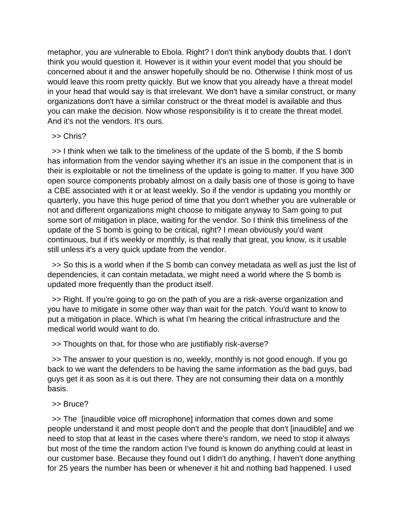metaphor, you are vulnerable to Ebola. Right? I don't think anybody doubts that. I don't think you would question it. However is it within your event model that you should be concerned about it and the answer hopefully should be no. Otherwise I think most of us would leave this room pretty quickly. But we know that you already have a threat model in your head that would say is that irrelevant. We don't have a similar construct, or many organizations don't have a similar construct or the threat model is available and thus you can make the decision. Now whose responsibility is it to create the threat model. And it's not the vendors. It's ours.

## >> Chris?

 >> I think when we talk to the timeliness of the update of the S bomb, if the S bomb has information from the vendor saying whether it's an issue in the component that is in their is exploitable or not the timeliness of the update is going to matter. If you have 300 open source components probably almost on a daily basis one of those is going to have a CBE associated with it or at least weekly. So if the vendor is updating you monthly or quarterly, you have this huge period of time that you don't whether you are vulnerable or not and different organizations might choose to mitigate anyway to Sam going to put some sort of mitigation in place, waiting for the vendor. So I think this timeliness of the update of the S bomb is going to be critical, right? I mean obviously you'd want continuous, but if it's weekly or monthly, is that really that great, you know, is it usable still unless it's a very quick update from the vendor.

 >> So this is a world when if the S bomb can convey metadata as well as just the list of dependencies, it can contain metadata, we might need a world where the S bomb is updated more frequently than the product itself.

 >> Right. If you're going to go on the path of you are a risk-averse organization and you have to mitigate in some other way than wait for the patch. You'd want to know to put a mitigation in place. Which is what I'm hearing the critical infrastructure and the medical world would want to do.

>> Thoughts on that, for those who are justifiably risk-averse?

 >> The answer to your question is no, weekly, monthly is not good enough. If you go back to we want the defenders to be having the same information as the bad guys, bad guys get it as soon as it is out there. They are not consuming their data on a monthly basis.

## >> Bruce?

 >> The [inaudible voice off microphone] information that comes down and some people understand it and most people don't and the people that don't [inaudible] and we need to stop that at least in the cases where there's random, we need to stop it always but most of the time the random action I've found is known do anything could at least in our customer base. Because they found out I didn't do anything, I haven't done anything for 25 years the number has been or whenever it hit and nothing bad happened. I used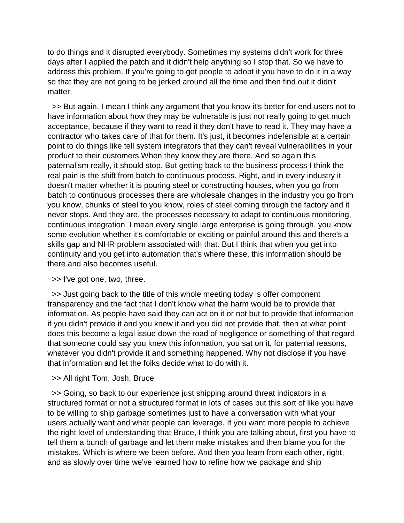to do things and it disrupted everybody. Sometimes my systems didn't work for three days after I applied the patch and it didn't help anything so I stop that. So we have to address this problem. If you're going to get people to adopt it you have to do it in a way so that they are not going to be jerked around all the time and then find out it didn't matter.

 >> But again, I mean I think any argument that you know it's better for end-users not to have information about how they may be vulnerable is just not really going to get much acceptance, because if they want to read it they don't have to read it. They may have a contractor who takes care of that for them. It's just, it becomes indefensible at a certain point to do things like tell system integrators that they can't reveal vulnerabilities in your product to their customers When they know they are there. And so again this paternalism really, it should stop. But getting back to the business process I think the real pain is the shift from batch to continuous process. Right, and in every industry it doesn't matter whether it is pouring steel or constructing houses, when you go from batch to continuous processes there are wholesale changes in the industry you go from you know, chunks of steel to you know, roles of steel coming through the factory and it never stops. And they are, the processes necessary to adapt to continuous monitoring, continuous integration. I mean every single large enterprise is going through, you know some evolution whether it's comfortable or exciting or painful around this and there's a skills gap and NHR problem associated with that. But I think that when you get into continuity and you get into automation that's where these, this information should be there and also becomes useful.

>> I've got one, two, three.

 >> Just going back to the title of this whole meeting today is offer component transparency and the fact that I don't know what the harm would be to provide that information. As people have said they can act on it or not but to provide that information if you didn't provide it and you knew it and you did not provide that, then at what point does this become a legal issue down the road of negligence or something of that regard that someone could say you knew this information, you sat on it, for paternal reasons, whatever you didn't provide it and something happened. Why not disclose if you have that information and let the folks decide what to do with it.

>> All right Tom, Josh, Bruce

 >> Going, so back to our experience just shipping around threat indicators in a structured format or not a structured format in lots of cases but this sort of like you have to be willing to ship garbage sometimes just to have a conversation with what your users actually want and what people can leverage. If you want more people to achieve the right level of understanding that Bruce, I think you are talking about, first you have to tell them a bunch of garbage and let them make mistakes and then blame you for the mistakes. Which is where we been before. And then you learn from each other, right, and as slowly over time we've learned how to refine how we package and ship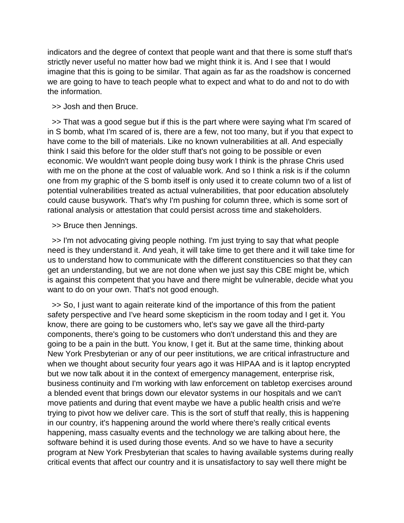indicators and the degree of context that people want and that there is some stuff that's strictly never useful no matter how bad we might think it is. And I see that I would imagine that this is going to be similar. That again as far as the roadshow is concerned we are going to have to teach people what to expect and what to do and not to do with the information.

>> Josh and then Bruce.

 >> That was a good segue but if this is the part where were saying what I'm scared of in S bomb, what I'm scared of is, there are a few, not too many, but if you that expect to have come to the bill of materials. Like no known vulnerabilities at all. And especially think I said this before for the older stuff that's not going to be possible or even economic. We wouldn't want people doing busy work I think is the phrase Chris used with me on the phone at the cost of valuable work. And so I think a risk is if the column one from my graphic of the S bomb itself is only used it to create column two of a list of potential vulnerabilities treated as actual vulnerabilities, that poor education absolutely could cause busywork. That's why I'm pushing for column three, which is some sort of rational analysis or attestation that could persist across time and stakeholders.

>> Bruce then Jennings.

 >> I'm not advocating giving people nothing. I'm just trying to say that what people need is they understand it. And yeah, it will take time to get there and it will take time for us to understand how to communicate with the different constituencies so that they can get an understanding, but we are not done when we just say this CBE might be, which is against this competent that you have and there might be vulnerable, decide what you want to do on your own. That's not good enough.

 >> So, I just want to again reiterate kind of the importance of this from the patient safety perspective and I've heard some skepticism in the room today and I get it. You know, there are going to be customers who, let's say we gave all the third-party components, there's going to be customers who don't understand this and they are going to be a pain in the butt. You know, I get it. But at the same time, thinking about New York Presbyterian or any of our peer institutions, we are critical infrastructure and when we thought about security four years ago it was HIPAA and is it laptop encrypted but we now talk about it in the context of emergency management, enterprise risk, business continuity and I'm working with law enforcement on tabletop exercises around a blended event that brings down our elevator systems in our hospitals and we can't move patients and during that event maybe we have a public health crisis and we're trying to pivot how we deliver care. This is the sort of stuff that really, this is happening in our country, it's happening around the world where there's really critical events happening, mass casualty events and the technology we are talking about here, the software behind it is used during those events. And so we have to have a security program at New York Presbyterian that scales to having available systems during really critical events that affect our country and it is unsatisfactory to say well there might be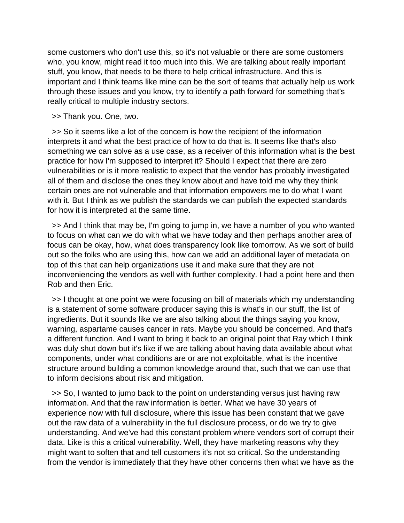some customers who don't use this, so it's not valuable or there are some customers who, you know, might read it too much into this. We are talking about really important stuff, you know, that needs to be there to help critical infrastructure. And this is important and I think teams like mine can be the sort of teams that actually help us work through these issues and you know, try to identify a path forward for something that's really critical to multiple industry sectors.

>> Thank you. One, two.

 >> So it seems like a lot of the concern is how the recipient of the information interprets it and what the best practice of how to do that is. It seems like that's also something we can solve as a use case, as a receiver of this information what is the best practice for how I'm supposed to interpret it? Should I expect that there are zero vulnerabilities or is it more realistic to expect that the vendor has probably investigated all of them and disclose the ones they know about and have told me why they think certain ones are not vulnerable and that information empowers me to do what I want with it. But I think as we publish the standards we can publish the expected standards for how it is interpreted at the same time.

 >> And I think that may be, I'm going to jump in, we have a number of you who wanted to focus on what can we do with what we have today and then perhaps another area of focus can be okay, how, what does transparency look like tomorrow. As we sort of build out so the folks who are using this, how can we add an additional layer of metadata on top of this that can help organizations use it and make sure that they are not inconveniencing the vendors as well with further complexity. I had a point here and then Rob and then Eric.

 >> I thought at one point we were focusing on bill of materials which my understanding is a statement of some software producer saying this is what's in our stuff, the list of ingredients. But it sounds like we are also talking about the things saying you know, warning, aspartame causes cancer in rats. Maybe you should be concerned. And that's a different function. And I want to bring it back to an original point that Ray which I think was duly shut down but it's like if we are talking about having data available about what components, under what conditions are or are not exploitable, what is the incentive structure around building a common knowledge around that, such that we can use that to inform decisions about risk and mitigation.

 >> So, I wanted to jump back to the point on understanding versus just having raw information. And that the raw information is better. What we have 30 years of experience now with full disclosure, where this issue has been constant that we gave out the raw data of a vulnerability in the full disclosure process, or do we try to give understanding. And we've had this constant problem where vendors sort of corrupt their data. Like is this a critical vulnerability. Well, they have marketing reasons why they might want to soften that and tell customers it's not so critical. So the understanding from the vendor is immediately that they have other concerns then what we have as the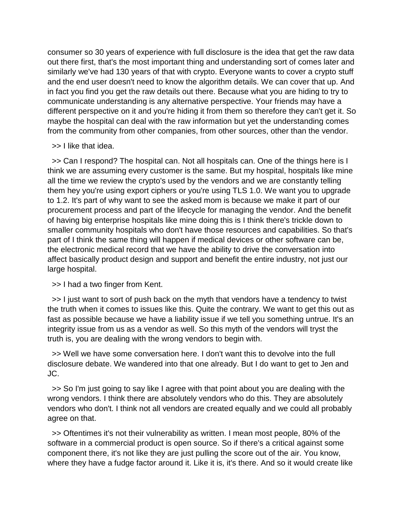consumer so 30 years of experience with full disclosure is the idea that get the raw data out there first, that's the most important thing and understanding sort of comes later and similarly we've had 130 years of that with crypto. Everyone wants to cover a crypto stuff and the end user doesn't need to know the algorithm details. We can cover that up. And in fact you find you get the raw details out there. Because what you are hiding to try to communicate understanding is any alternative perspective. Your friends may have a different perspective on it and you're hiding it from them so therefore they can't get it. So maybe the hospital can deal with the raw information but yet the understanding comes from the community from other companies, from other sources, other than the vendor.

>> I like that idea.

 >> Can I respond? The hospital can. Not all hospitals can. One of the things here is I think we are assuming every customer is the same. But my hospital, hospitals like mine all the time we review the crypto's used by the vendors and we are constantly telling them hey you're using export ciphers or you're using TLS 1.0. We want you to upgrade to 1.2. It's part of why want to see the asked mom is because we make it part of our procurement process and part of the lifecycle for managing the vendor. And the benefit of having big enterprise hospitals like mine doing this is I think there's trickle down to smaller community hospitals who don't have those resources and capabilities. So that's part of I think the same thing will happen if medical devices or other software can be, the electronic medical record that we have the ability to drive the conversation into affect basically product design and support and benefit the entire industry, not just our large hospital.

>> I had a two finger from Kent.

 >> I just want to sort of push back on the myth that vendors have a tendency to twist the truth when it comes to issues like this. Quite the contrary. We want to get this out as fast as possible because we have a liability issue if we tell you something untrue. It's an integrity issue from us as a vendor as well. So this myth of the vendors will tryst the truth is, you are dealing with the wrong vendors to begin with.

 >> Well we have some conversation here. I don't want this to devolve into the full disclosure debate. We wandered into that one already. But I do want to get to Jen and JC.

 >> So I'm just going to say like I agree with that point about you are dealing with the wrong vendors. I think there are absolutely vendors who do this. They are absolutely vendors who don't. I think not all vendors are created equally and we could all probably agree on that.

 >> Oftentimes it's not their vulnerability as written. I mean most people, 80% of the software in a commercial product is open source. So if there's a critical against some component there, it's not like they are just pulling the score out of the air. You know, where they have a fudge factor around it. Like it is, it's there. And so it would create like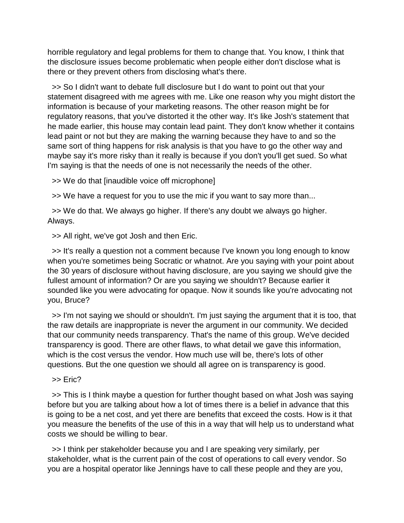horrible regulatory and legal problems for them to change that. You know, I think that the disclosure issues become problematic when people either don't disclose what is there or they prevent others from disclosing what's there.

 >> So I didn't want to debate full disclosure but I do want to point out that your statement disagreed with me agrees with me. Like one reason why you might distort the information is because of your marketing reasons. The other reason might be for regulatory reasons, that you've distorted it the other way. It's like Josh's statement that he made earlier, this house may contain lead paint. They don't know whether it contains lead paint or not but they are making the warning because they have to and so the same sort of thing happens for risk analysis is that you have to go the other way and maybe say it's more risky than it really is because if you don't you'll get sued. So what I'm saying is that the needs of one is not necessarily the needs of the other.

>> We do that [inaudible voice off microphone]

>> We have a request for you to use the mic if you want to say more than...

 >> We do that. We always go higher. If there's any doubt we always go higher. Always.

>> All right, we've got Josh and then Eric.

 >> It's really a question not a comment because I've known you long enough to know when you're sometimes being Socratic or whatnot. Are you saying with your point about the 30 years of disclosure without having disclosure, are you saying we should give the fullest amount of information? Or are you saying we shouldn't? Because earlier it sounded like you were advocating for opaque. Now it sounds like you're advocating not you, Bruce?

 >> I'm not saying we should or shouldn't. I'm just saying the argument that it is too, that the raw details are inappropriate is never the argument in our community. We decided that our community needs transparency. That's the name of this group. We've decided transparency is good. There are other flaws, to what detail we gave this information, which is the cost versus the vendor. How much use will be, there's lots of other questions. But the one question we should all agree on is transparency is good.

>> Eric?

 >> This is I think maybe a question for further thought based on what Josh was saying before but you are talking about how a lot of times there is a belief in advance that this is going to be a net cost, and yet there are benefits that exceed the costs. How is it that you measure the benefits of the use of this in a way that will help us to understand what costs we should be willing to bear.

 >> I think per stakeholder because you and I are speaking very similarly, per stakeholder, what is the current pain of the cost of operations to call every vendor. So you are a hospital operator like Jennings have to call these people and they are you,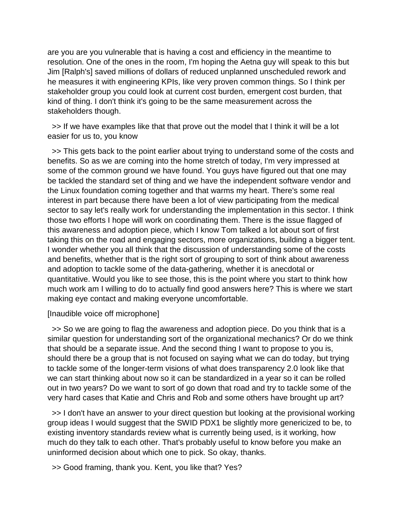are you are you vulnerable that is having a cost and efficiency in the meantime to resolution. One of the ones in the room, I'm hoping the Aetna guy will speak to this but Jim [Ralph's] saved millions of dollars of reduced unplanned unscheduled rework and he measures it with engineering KPIs, like very proven common things. So I think per stakeholder group you could look at current cost burden, emergent cost burden, that kind of thing. I don't think it's going to be the same measurement across the stakeholders though.

 >> If we have examples like that that prove out the model that I think it will be a lot easier for us to, you know

 >> This gets back to the point earlier about trying to understand some of the costs and benefits. So as we are coming into the home stretch of today, I'm very impressed at some of the common ground we have found. You guys have figured out that one may be tackled the standard set of thing and we have the independent software vendor and the Linux foundation coming together and that warms my heart. There's some real interest in part because there have been a lot of view participating from the medical sector to say let's really work for understanding the implementation in this sector. I think those two efforts I hope will work on coordinating them. There is the issue flagged of this awareness and adoption piece, which I know Tom talked a lot about sort of first taking this on the road and engaging sectors, more organizations, building a bigger tent. I wonder whether you all think that the discussion of understanding some of the costs and benefits, whether that is the right sort of grouping to sort of think about awareness and adoption to tackle some of the data-gathering, whether it is anecdotal or quantitative. Would you like to see those, this is the point where you start to think how much work am I willing to do to actually find good answers here? This is where we start making eye contact and making everyone uncomfortable.

#### [Inaudible voice off microphone]

 >> So we are going to flag the awareness and adoption piece. Do you think that is a similar question for understanding sort of the organizational mechanics? Or do we think that should be a separate issue. And the second thing I want to propose to you is, should there be a group that is not focused on saying what we can do today, but trying to tackle some of the longer-term visions of what does transparency 2.0 look like that we can start thinking about now so it can be standardized in a year so it can be rolled out in two years? Do we want to sort of go down that road and try to tackle some of the very hard cases that Katie and Chris and Rob and some others have brought up art?

 >> I don't have an answer to your direct question but looking at the provisional working group ideas I would suggest that the SWID PDX1 be slightly more genericized to be, to existing inventory standards review what is currently being used, is it working, how much do they talk to each other. That's probably useful to know before you make an uninformed decision about which one to pick. So okay, thanks.

>> Good framing, thank you. Kent, you like that? Yes?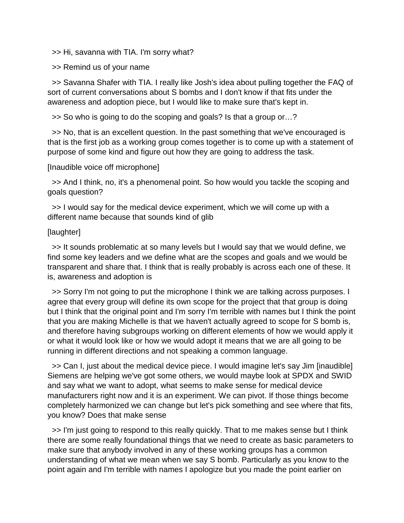>> Hi, savanna with TIA. I'm sorry what?

>> Remind us of your name

 >> Savanna Shafer with TIA. I really like Josh's idea about pulling together the FAQ of sort of current conversations about S bombs and I don't know if that fits under the awareness and adoption piece, but I would like to make sure that's kept in.

>> So who is going to do the scoping and goals? Is that a group or…?

 >> No, that is an excellent question. In the past something that we've encouraged is that is the first job as a working group comes together is to come up with a statement of purpose of some kind and figure out how they are going to address the task.

[Inaudible voice off microphone]

 >> And I think, no, it's a phenomenal point. So how would you tackle the scoping and goals question?

 >> I would say for the medical device experiment, which we will come up with a different name because that sounds kind of glib

## [laughter]

 >> It sounds problematic at so many levels but I would say that we would define, we find some key leaders and we define what are the scopes and goals and we would be transparent and share that. I think that is really probably is across each one of these. It is, awareness and adoption is

 >> Sorry I'm not going to put the microphone I think we are talking across purposes. I agree that every group will define its own scope for the project that that group is doing but I think that the original point and I'm sorry I'm terrible with names but I think the point that you are making Michelle is that we haven't actually agreed to scope for S bomb is, and therefore having subgroups working on different elements of how we would apply it or what it would look like or how we would adopt it means that we are all going to be running in different directions and not speaking a common language.

 >> Can I, just about the medical device piece. I would imagine let's say Jim [inaudible] Siemens are helping we've got some others, we would maybe look at SPDX and SWID and say what we want to adopt, what seems to make sense for medical device manufacturers right now and it is an experiment. We can pivot. If those things become completely harmonized we can change but let's pick something and see where that fits, you know? Does that make sense

 >> I'm just going to respond to this really quickly. That to me makes sense but I think there are some really foundational things that we need to create as basic parameters to make sure that anybody involved in any of these working groups has a common understanding of what we mean when we say S bomb. Particularly as you know to the point again and I'm terrible with names I apologize but you made the point earlier on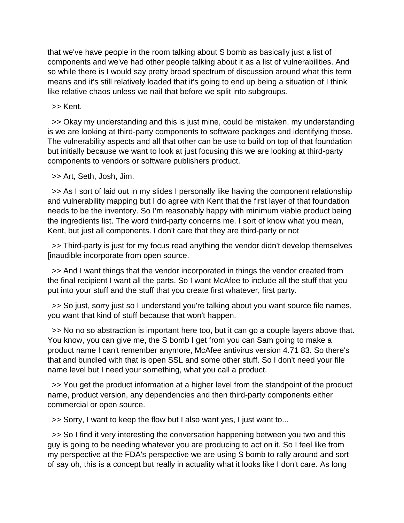that we've have people in the room talking about S bomb as basically just a list of components and we've had other people talking about it as a list of vulnerabilities. And so while there is I would say pretty broad spectrum of discussion around what this term means and it's still relatively loaded that it's going to end up being a situation of I think like relative chaos unless we nail that before we split into subgroups.

>> Kent.

 >> Okay my understanding and this is just mine, could be mistaken, my understanding is we are looking at third-party components to software packages and identifying those. The vulnerability aspects and all that other can be use to build on top of that foundation but initially because we want to look at just focusing this we are looking at third-party components to vendors or software publishers product.

>> Art, Seth, Josh, Jim.

 >> As I sort of laid out in my slides I personally like having the component relationship and vulnerability mapping but I do agree with Kent that the first layer of that foundation needs to be the inventory. So I'm reasonably happy with minimum viable product being the ingredients list. The word third-party concerns me. I sort of know what you mean, Kent, but just all components. I don't care that they are third-party or not

 >> Third-party is just for my focus read anything the vendor didn't develop themselves [inaudible incorporate from open source.

 >> And I want things that the vendor incorporated in things the vendor created from the final recipient I want all the parts. So I want McAfee to include all the stuff that you put into your stuff and the stuff that you create first whatever, first party.

 >> So just, sorry just so I understand you're talking about you want source file names, you want that kind of stuff because that won't happen.

 >> No no so abstraction is important here too, but it can go a couple layers above that. You know, you can give me, the S bomb I get from you can Sam going to make a product name I can't remember anymore, McAfee antivirus version 4.71 83. So there's that and bundled with that is open SSL and some other stuff. So I don't need your file name level but I need your something, what you call a product.

 >> You get the product information at a higher level from the standpoint of the product name, product version, any dependencies and then third-party components either commercial or open source.

>> Sorry, I want to keep the flow but I also want yes, I just want to...

 >> So I find it very interesting the conversation happening between you two and this guy is going to be needing whatever you are producing to act on it. So I feel like from my perspective at the FDA's perspective we are using S bomb to rally around and sort of say oh, this is a concept but really in actuality what it looks like I don't care. As long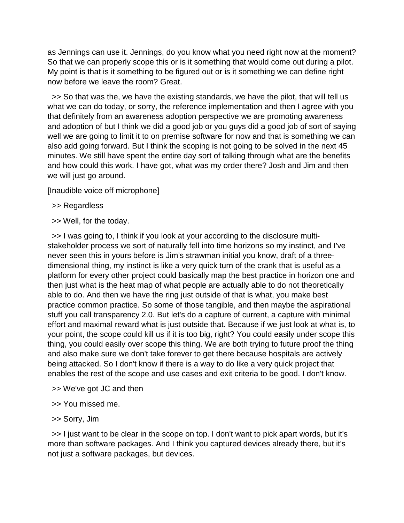as Jennings can use it. Jennings, do you know what you need right now at the moment? So that we can properly scope this or is it something that would come out during a pilot. My point is that is it something to be figured out or is it something we can define right now before we leave the room? Great.

 >> So that was the, we have the existing standards, we have the pilot, that will tell us what we can do today, or sorry, the reference implementation and then I agree with you that definitely from an awareness adoption perspective we are promoting awareness and adoption of but I think we did a good job or you guys did a good job of sort of saying well we are going to limit it to on premise software for now and that is something we can also add going forward. But I think the scoping is not going to be solved in the next 45 minutes. We still have spent the entire day sort of talking through what are the benefits and how could this work. I have got, what was my order there? Josh and Jim and then we will just go around.

[Inaudible voice off microphone]

- >> Regardless
- >> Well, for the today.

 >> I was going to, I think if you look at your according to the disclosure multistakeholder process we sort of naturally fell into time horizons so my instinct, and I've never seen this in yours before is Jim's strawman initial you know, draft of a threedimensional thing, my instinct is like a very quick turn of the crank that is useful as a platform for every other project could basically map the best practice in horizon one and then just what is the heat map of what people are actually able to do not theoretically able to do. And then we have the ring just outside of that is what, you make best practice common practice. So some of those tangible, and then maybe the aspirational stuff you call transparency 2.0. But let's do a capture of current, a capture with minimal effort and maximal reward what is just outside that. Because if we just look at what is, to your point, the scope could kill us if it is too big, right? You could easily under scope this thing, you could easily over scope this thing. We are both trying to future proof the thing and also make sure we don't take forever to get there because hospitals are actively being attacked. So I don't know if there is a way to do like a very quick project that enables the rest of the scope and use cases and exit criteria to be good. I don't know.

- >> We've got JC and then
- >> You missed me.
- >> Sorry, Jim

 >> I just want to be clear in the scope on top. I don't want to pick apart words, but it's more than software packages. And I think you captured devices already there, but it's not just a software packages, but devices.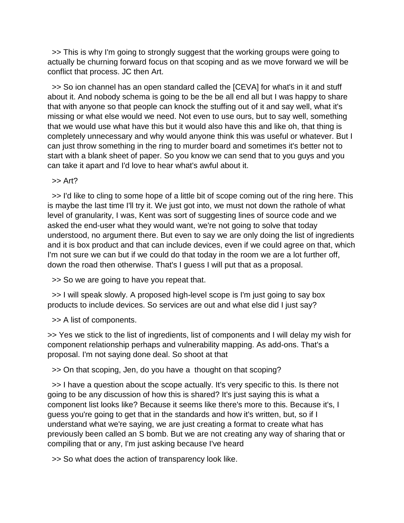>> This is why I'm going to strongly suggest that the working groups were going to actually be churning forward focus on that scoping and as we move forward we will be conflict that process. JC then Art.

 >> So ion channel has an open standard called the [CEVA] for what's in it and stuff about it. And nobody schema is going to be the be all end all but I was happy to share that with anyone so that people can knock the stuffing out of it and say well, what it's missing or what else would we need. Not even to use ours, but to say well, something that we would use what have this but it would also have this and like oh, that thing is completely unnecessary and why would anyone think this was useful or whatever. But I can just throw something in the ring to murder board and sometimes it's better not to start with a blank sheet of paper. So you know we can send that to you guys and you can take it apart and I'd love to hear what's awful about it.

 $\gt$  Art?

 >> I'd like to cling to some hope of a little bit of scope coming out of the ring here. This is maybe the last time I'll try it. We just got into, we must not down the rathole of what level of granularity, I was, Kent was sort of suggesting lines of source code and we asked the end-user what they would want, we're not going to solve that today understood, no argument there. But even to say we are only doing the list of ingredients and it is box product and that can include devices, even if we could agree on that, which I'm not sure we can but if we could do that today in the room we are a lot further off, down the road then otherwise. That's I guess I will put that as a proposal.

>> So we are going to have you repeat that.

 >> I will speak slowly. A proposed high-level scope is I'm just going to say box products to include devices. So services are out and what else did I just say?

>> A list of components.

>> Yes we stick to the list of ingredients, list of components and I will delay my wish for component relationship perhaps and vulnerability mapping. As add-ons. That's a proposal. I'm not saying done deal. So shoot at that

>> On that scoping, Jen, do you have a thought on that scoping?

 >> I have a question about the scope actually. It's very specific to this. Is there not going to be any discussion of how this is shared? It's just saying this is what a component list looks like? Because it seems like there's more to this. Because it's, I guess you're going to get that in the standards and how it's written, but, so if I understand what we're saying, we are just creating a format to create what has previously been called an S bomb. But we are not creating any way of sharing that or compiling that or any, I'm just asking because I've heard

>> So what does the action of transparency look like.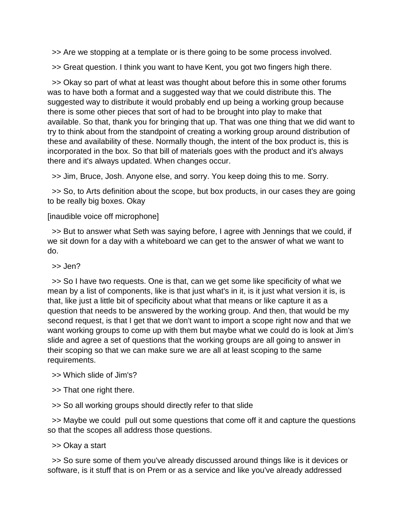>> Are we stopping at a template or is there going to be some process involved.

>> Great question. I think you want to have Kent, you got two fingers high there.

 >> Okay so part of what at least was thought about before this in some other forums was to have both a format and a suggested way that we could distribute this. The suggested way to distribute it would probably end up being a working group because there is some other pieces that sort of had to be brought into play to make that available. So that, thank you for bringing that up. That was one thing that we did want to try to think about from the standpoint of creating a working group around distribution of these and availability of these. Normally though, the intent of the box product is, this is incorporated in the box. So that bill of materials goes with the product and it's always there and it's always updated. When changes occur.

>> Jim, Bruce, Josh. Anyone else, and sorry. You keep doing this to me. Sorry.

 >> So, to Arts definition about the scope, but box products, in our cases they are going to be really big boxes. Okay

## [inaudible voice off microphone]

 >> But to answer what Seth was saying before, I agree with Jennings that we could, if we sit down for a day with a whiteboard we can get to the answer of what we want to do.

>> Jen?

 >> So I have two requests. One is that, can we get some like specificity of what we mean by a list of components, like is that just what's in it, is it just what version it is, is that, like just a little bit of specificity about what that means or like capture it as a question that needs to be answered by the working group. And then, that would be my second request, is that I get that we don't want to import a scope right now and that we want working groups to come up with them but maybe what we could do is look at Jim's slide and agree a set of questions that the working groups are all going to answer in their scoping so that we can make sure we are all at least scoping to the same requirements.

## >> Which slide of Jim's?

>> That one right there.

>> So all working groups should directly refer to that slide

 >> Maybe we could pull out some questions that come off it and capture the questions so that the scopes all address those questions.

>> Okay a start

 >> So sure some of them you've already discussed around things like is it devices or software, is it stuff that is on Prem or as a service and like you've already addressed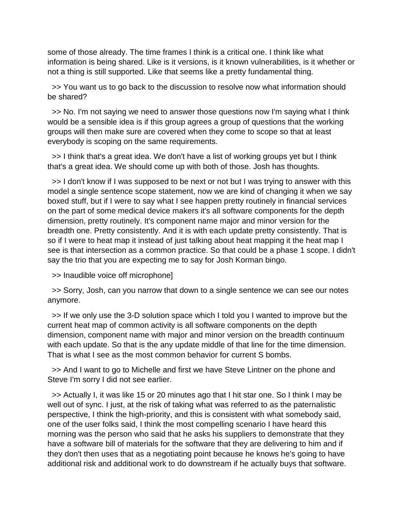some of those already. The time frames I think is a critical one. I think like what information is being shared. Like is it versions, is it known vulnerabilities, is it whether or not a thing is still supported. Like that seems like a pretty fundamental thing.

 >> You want us to go back to the discussion to resolve now what information should be shared?

 >> No. I'm not saying we need to answer those questions now I'm saying what I think would be a sensible idea is if this group agrees a group of questions that the working groups will then make sure are covered when they come to scope so that at least everybody is scoping on the same requirements.

 >> I think that's a great idea. We don't have a list of working groups yet but I think that's a great idea. We should come up with both of those. Josh has thoughts.

 >> I don't know if I was supposed to be next or not but I was trying to answer with this model a single sentence scope statement, now we are kind of changing it when we say boxed stuff, but if I were to say what I see happen pretty routinely in financial services on the part of some medical device makers it's all software components for the depth dimension, pretty routinely. It's component name major and minor version for the breadth one. Pretty consistently. And it is with each update pretty consistently. That is so if I were to heat map it instead of just talking about heat mapping it the heat map I see is that intersection as a common practice. So that could be a phase 1 scope. I didn't say the trio that you are expecting me to say for Josh Korman bingo.

>> Inaudible voice off microphone]

 >> Sorry, Josh, can you narrow that down to a single sentence we can see our notes anymore.

 >> If we only use the 3-D solution space which I told you I wanted to improve but the current heat map of common activity is all software components on the depth dimension, component name with major and minor version on the breadth continuum with each update. So that is the any update middle of that line for the time dimension. That is what I see as the most common behavior for current S bombs.

 >> And I want to go to Michelle and first we have Steve Lintner on the phone and Steve I'm sorry I did not see earlier.

 >> Actually I, it was like 15 or 20 minutes ago that I hit star one. So I think I may be well out of sync. I just, at the risk of taking what was referred to as the paternalistic perspective, I think the high-priority, and this is consistent with what somebody said, one of the user folks said, I think the most compelling scenario I have heard this morning was the person who said that he asks his suppliers to demonstrate that they have a software bill of materials for the software that they are delivering to him and if they don't then uses that as a negotiating point because he knows he's going to have additional risk and additional work to do downstream if he actually buys that software.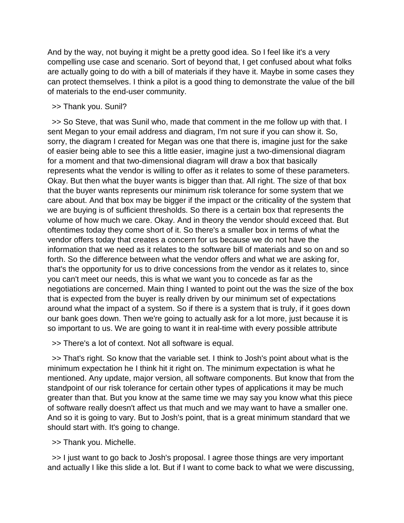And by the way, not buying it might be a pretty good idea. So I feel like it's a very compelling use case and scenario. Sort of beyond that, I get confused about what folks are actually going to do with a bill of materials if they have it. Maybe in some cases they can protect themselves. I think a pilot is a good thing to demonstrate the value of the bill of materials to the end-user community.

#### >> Thank you. Sunil?

 >> So Steve, that was Sunil who, made that comment in the me follow up with that. I sent Megan to your email address and diagram, I'm not sure if you can show it. So, sorry, the diagram I created for Megan was one that there is, imagine just for the sake of easier being able to see this a little easier, imagine just a two-dimensional diagram for a moment and that two-dimensional diagram will draw a box that basically represents what the vendor is willing to offer as it relates to some of these parameters. Okay. But then what the buyer wants is bigger than that. All right. The size of that box that the buyer wants represents our minimum risk tolerance for some system that we care about. And that box may be bigger if the impact or the criticality of the system that we are buying is of sufficient thresholds. So there is a certain box that represents the volume of how much we care. Okay. And in theory the vendor should exceed that. But oftentimes today they come short of it. So there's a smaller box in terms of what the vendor offers today that creates a concern for us because we do not have the information that we need as it relates to the software bill of materials and so on and so forth. So the difference between what the vendor offers and what we are asking for, that's the opportunity for us to drive concessions from the vendor as it relates to, since you can't meet our needs, this is what we want you to concede as far as the negotiations are concerned. Main thing I wanted to point out the was the size of the box that is expected from the buyer is really driven by our minimum set of expectations around what the impact of a system. So if there is a system that is truly, if it goes down our bank goes down. Then we're going to actually ask for a lot more, just because it is so important to us. We are going to want it in real-time with every possible attribute

>> There's a lot of context. Not all software is equal.

 >> That's right. So know that the variable set. I think to Josh's point about what is the minimum expectation he I think hit it right on. The minimum expectation is what he mentioned. Any update, major version, all software components. But know that from the standpoint of our risk tolerance for certain other types of applications it may be much greater than that. But you know at the same time we may say you know what this piece of software really doesn't affect us that much and we may want to have a smaller one. And so it is going to vary. But to Josh's point, that is a great minimum standard that we should start with. It's going to change.

>> Thank you. Michelle.

 >> I just want to go back to Josh's proposal. I agree those things are very important and actually I like this slide a lot. But if I want to come back to what we were discussing,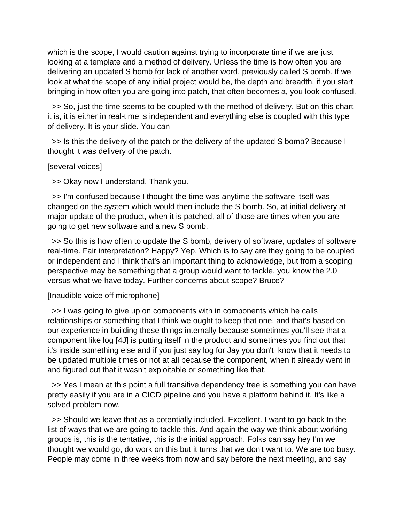which is the scope, I would caution against trying to incorporate time if we are just looking at a template and a method of delivery. Unless the time is how often you are delivering an updated S bomb for lack of another word, previously called S bomb. If we look at what the scope of any initial project would be, the depth and breadth, if you start bringing in how often you are going into patch, that often becomes a, you look confused.

 >> So, just the time seems to be coupled with the method of delivery. But on this chart it is, it is either in real-time is independent and everything else is coupled with this type of delivery. It is your slide. You can

 >> Is this the delivery of the patch or the delivery of the updated S bomb? Because I thought it was delivery of the patch.

[several voices]

>> Okay now I understand. Thank you.

 >> I'm confused because I thought the time was anytime the software itself was changed on the system which would then include the S bomb. So, at initial delivery at major update of the product, when it is patched, all of those are times when you are going to get new software and a new S bomb.

 >> So this is how often to update the S bomb, delivery of software, updates of software real-time. Fair interpretation? Happy? Yep. Which is to say are they going to be coupled or independent and I think that's an important thing to acknowledge, but from a scoping perspective may be something that a group would want to tackle, you know the 2.0 versus what we have today. Further concerns about scope? Bruce?

## [Inaudible voice off microphone]

 >> I was going to give up on components with in components which he calls relationships or something that I think we ought to keep that one, and that's based on our experience in building these things internally because sometimes you'll see that a component like log [4J] is putting itself in the product and sometimes you find out that it's inside something else and if you just say log for Jay you don't know that it needs to be updated multiple times or not at all because the component, when it already went in and figured out that it wasn't exploitable or something like that.

 >> Yes I mean at this point a full transitive dependency tree is something you can have pretty easily if you are in a CICD pipeline and you have a platform behind it. It's like a solved problem now.

 >> Should we leave that as a potentially included. Excellent. I want to go back to the list of ways that we are going to tackle this. And again the way we think about working groups is, this is the tentative, this is the initial approach. Folks can say hey I'm we thought we would go, do work on this but it turns that we don't want to. We are too busy. People may come in three weeks from now and say before the next meeting, and say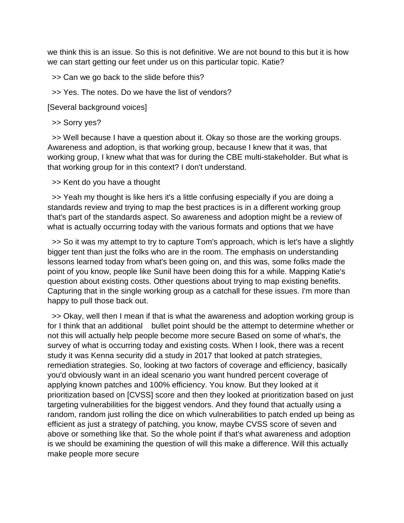we think this is an issue. So this is not definitive. We are not bound to this but it is how we can start getting our feet under us on this particular topic. Katie?

>> Can we go back to the slide before this?

>> Yes. The notes. Do we have the list of vendors?

[Several background voices]

>> Sorry yes?

 >> Well because I have a question about it. Okay so those are the working groups. Awareness and adoption, is that working group, because I knew that it was, that working group, I knew what that was for during the CBE multi-stakeholder. But what is that working group for in this context? I don't understand.

>> Kent do you have a thought

 >> Yeah my thought is like hers it's a little confusing especially if you are doing a standards review and trying to map the best practices is in a different working group that's part of the standards aspect. So awareness and adoption might be a review of what is actually occurring today with the various formats and options that we have

 >> So it was my attempt to try to capture Tom's approach, which is let's have a slightly bigger tent than just the folks who are in the room. The emphasis on understanding lessons learned today from what's been going on, and this was, some folks made the point of you know, people like Sunil have been doing this for a while. Mapping Katie's question about existing costs. Other questions about trying to map existing benefits. Capturing that in the single working group as a catchall for these issues. I'm more than happy to pull those back out.

 >> Okay, well then I mean if that is what the awareness and adoption working group is for I think that an additional bullet point should be the attempt to determine whether or not this will actually help people become more secure Based on some of what's, the survey of what is occurring today and existing costs. When I look, there was a recent study it was Kenna security did a study in 2017 that looked at patch strategies, remediation strategies. So, looking at two factors of coverage and efficiency, basically you'd obviously want in an ideal scenario you want hundred percent coverage of applying known patches and 100% efficiency. You know. But they looked at it prioritization based on [CVSS] score and then they looked at prioritization based on just targeting vulnerabilities for the biggest vendors. And they found that actually using a random, random just rolling the dice on which vulnerabilities to patch ended up being as efficient as just a strategy of patching, you know, maybe CVSS score of seven and above or something like that. So the whole point if that's what awareness and adoption is we should be examining the question of will this make a difference. Will this actually make people more secure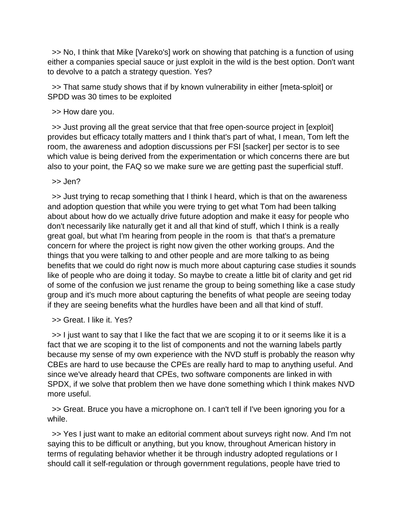>> No, I think that Mike [Vareko's] work on showing that patching is a function of using either a companies special sauce or just exploit in the wild is the best option. Don't want to devolve to a patch a strategy question. Yes?

 >> That same study shows that if by known vulnerability in either [meta-sploit] or SPDD was 30 times to be exploited

>> How dare you.

 >> Just proving all the great service that that free open-source project in [exploit] provides but efficacy totally matters and I think that's part of what, I mean, Tom left the room, the awareness and adoption discussions per FSI [sacker] per sector is to see which value is being derived from the experimentation or which concerns there are but also to your point, the FAQ so we make sure we are getting past the superficial stuff.

>> Jen?

 >> Just trying to recap something that I think I heard, which is that on the awareness and adoption question that while you were trying to get what Tom had been talking about about how do we actually drive future adoption and make it easy for people who don't necessarily like naturally get it and all that kind of stuff, which I think is a really great goal, but what I'm hearing from people in the room is that that's a premature concern for where the project is right now given the other working groups. And the things that you were talking to and other people and are more talking to as being benefits that we could do right now is much more about capturing case studies it sounds like of people who are doing it today. So maybe to create a little bit of clarity and get rid of some of the confusion we just rename the group to being something like a case study group and it's much more about capturing the benefits of what people are seeing today if they are seeing benefits what the hurdles have been and all that kind of stuff.

>> Great. I like it. Yes?

 >> I just want to say that I like the fact that we are scoping it to or it seems like it is a fact that we are scoping it to the list of components and not the warning labels partly because my sense of my own experience with the NVD stuff is probably the reason why CBEs are hard to use because the CPEs are really hard to map to anything useful. And since we've already heard that CPEs, two software components are linked in with SPDX, if we solve that problem then we have done something which I think makes NVD more useful.

 >> Great. Bruce you have a microphone on. I can't tell if I've been ignoring you for a while.

 >> Yes I just want to make an editorial comment about surveys right now. And I'm not saying this to be difficult or anything, but you know, throughout American history in terms of regulating behavior whether it be through industry adopted regulations or I should call it self-regulation or through government regulations, people have tried to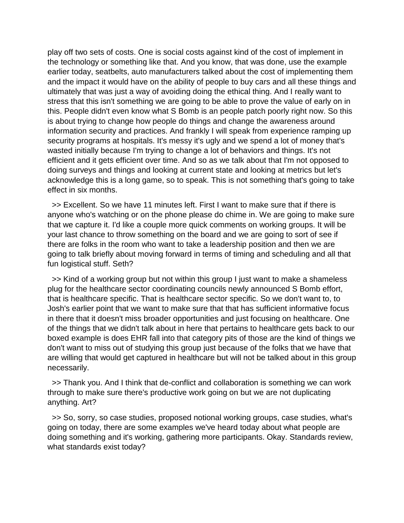play off two sets of costs. One is social costs against kind of the cost of implement in the technology or something like that. And you know, that was done, use the example earlier today, seatbelts, auto manufacturers talked about the cost of implementing them and the impact it would have on the ability of people to buy cars and all these things and ultimately that was just a way of avoiding doing the ethical thing. And I really want to stress that this isn't something we are going to be able to prove the value of early on in this. People didn't even know what S Bomb is an people patch poorly right now. So this is about trying to change how people do things and change the awareness around information security and practices. And frankly I will speak from experience ramping up security programs at hospitals. It's messy it's ugly and we spend a lot of money that's wasted initially because I'm trying to change a lot of behaviors and things. It's not efficient and it gets efficient over time. And so as we talk about that I'm not opposed to doing surveys and things and looking at current state and looking at metrics but let's acknowledge this is a long game, so to speak. This is not something that's going to take effect in six months.

 >> Excellent. So we have 11 minutes left. First I want to make sure that if there is anyone who's watching or on the phone please do chime in. We are going to make sure that we capture it. I'd like a couple more quick comments on working groups. It will be your last chance to throw something on the board and we are going to sort of see if there are folks in the room who want to take a leadership position and then we are going to talk briefly about moving forward in terms of timing and scheduling and all that fun logistical stuff. Seth?

 >> Kind of a working group but not within this group I just want to make a shameless plug for the healthcare sector coordinating councils newly announced S Bomb effort, that is healthcare specific. That is healthcare sector specific. So we don't want to, to Josh's earlier point that we want to make sure that that has sufficient informative focus in there that it doesn't miss broader opportunities and just focusing on healthcare. One of the things that we didn't talk about in here that pertains to healthcare gets back to our boxed example is does EHR fall into that category pits of those are the kind of things we don't want to miss out of studying this group just because of the folks that we have that are willing that would get captured in healthcare but will not be talked about in this group necessarily.

 >> Thank you. And I think that de-conflict and collaboration is something we can work through to make sure there's productive work going on but we are not duplicating anything. Art?

 >> So, sorry, so case studies, proposed notional working groups, case studies, what's going on today, there are some examples we've heard today about what people are doing something and it's working, gathering more participants. Okay. Standards review, what standards exist today?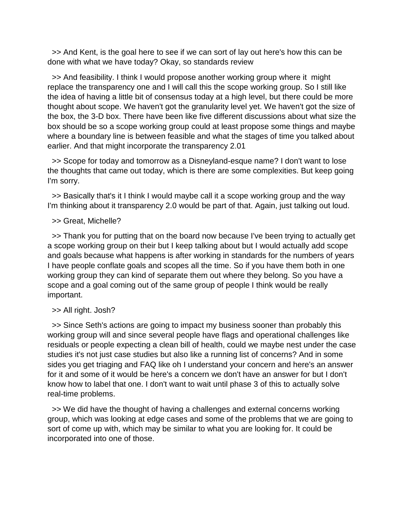>> And Kent, is the goal here to see if we can sort of lay out here's how this can be done with what we have today? Okay, so standards review

 >> And feasibility. I think I would propose another working group where it might replace the transparency one and I will call this the scope working group. So I still like the idea of having a little bit of consensus today at a high level, but there could be more thought about scope. We haven't got the granularity level yet. We haven't got the size of the box, the 3-D box. There have been like five different discussions about what size the box should be so a scope working group could at least propose some things and maybe where a boundary line is between feasible and what the stages of time you talked about earlier. And that might incorporate the transparency 2.01

 >> Scope for today and tomorrow as a Disneyland-esque name? I don't want to lose the thoughts that came out today, which is there are some complexities. But keep going I'm sorry.

 >> Basically that's it I think I would maybe call it a scope working group and the way I'm thinking about it transparency 2.0 would be part of that. Again, just talking out loud.

## >> Great, Michelle?

 >> Thank you for putting that on the board now because I've been trying to actually get a scope working group on their but I keep talking about but I would actually add scope and goals because what happens is after working in standards for the numbers of years I have people conflate goals and scopes all the time. So if you have them both in one working group they can kind of separate them out where they belong. So you have a scope and a goal coming out of the same group of people I think would be really important.

## >> All right. Josh?

 >> Since Seth's actions are going to impact my business sooner than probably this working group will and since several people have flags and operational challenges like residuals or people expecting a clean bill of health, could we maybe nest under the case studies it's not just case studies but also like a running list of concerns? And in some sides you get triaging and FAQ like oh I understand your concern and here's an answer for it and some of it would be here's a concern we don't have an answer for but I don't know how to label that one. I don't want to wait until phase 3 of this to actually solve real-time problems.

 >> We did have the thought of having a challenges and external concerns working group, which was looking at edge cases and some of the problems that we are going to sort of come up with, which may be similar to what you are looking for. It could be incorporated into one of those.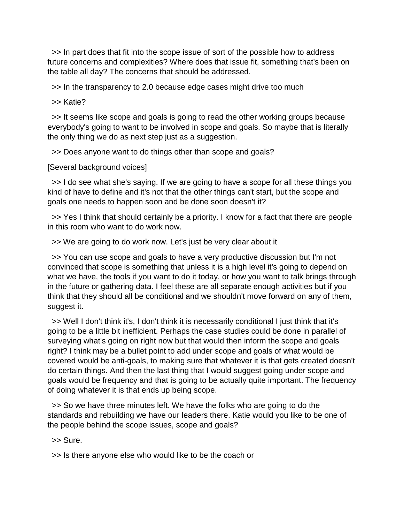>> In part does that fit into the scope issue of sort of the possible how to address future concerns and complexities? Where does that issue fit, something that's been on the table all day? The concerns that should be addressed.

>> In the transparency to 2.0 because edge cases might drive too much

>> Katie?

 >> It seems like scope and goals is going to read the other working groups because everybody's going to want to be involved in scope and goals. So maybe that is literally the only thing we do as next step just as a suggestion.

>> Does anyone want to do things other than scope and goals?

[Several background voices]

 >> I do see what she's saying. If we are going to have a scope for all these things you kind of have to define and it's not that the other things can't start, but the scope and goals one needs to happen soon and be done soon doesn't it?

 >> Yes I think that should certainly be a priority. I know for a fact that there are people in this room who want to do work now.

>> We are going to do work now. Let's just be very clear about it

 >> You can use scope and goals to have a very productive discussion but I'm not convinced that scope is something that unless it is a high level it's going to depend on what we have, the tools if you want to do it today, or how you want to talk brings through in the future or gathering data. I feel these are all separate enough activities but if you think that they should all be conditional and we shouldn't move forward on any of them, suggest it.

 >> Well I don't think it's, I don't think it is necessarily conditional I just think that it's going to be a little bit inefficient. Perhaps the case studies could be done in parallel of surveying what's going on right now but that would then inform the scope and goals right? I think may be a bullet point to add under scope and goals of what would be covered would be anti-goals, to making sure that whatever it is that gets created doesn't do certain things. And then the last thing that I would suggest going under scope and goals would be frequency and that is going to be actually quite important. The frequency of doing whatever it is that ends up being scope.

 >> So we have three minutes left. We have the folks who are going to do the standards and rebuilding we have our leaders there. Katie would you like to be one of the people behind the scope issues, scope and goals?

>> Sure.

>> Is there anyone else who would like to be the coach or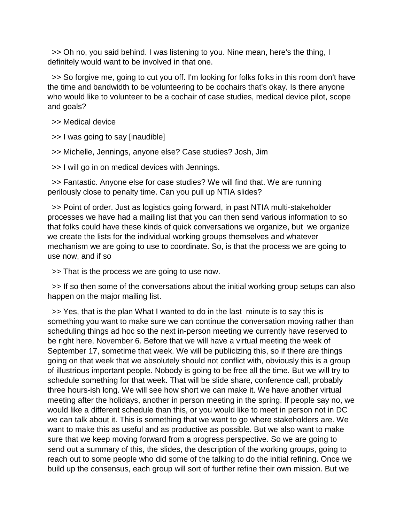>> Oh no, you said behind. I was listening to you. Nine mean, here's the thing, I definitely would want to be involved in that one.

 >> So forgive me, going to cut you off. I'm looking for folks folks in this room don't have the time and bandwidth to be volunteering to be cochairs that's okay. Is there anyone who would like to volunteer to be a cochair of case studies, medical device pilot, scope and goals?

>> Medical device

>> I was going to say [inaudible]

>> Michelle, Jennings, anyone else? Case studies? Josh, Jim

>> I will go in on medical devices with Jennings.

 >> Fantastic. Anyone else for case studies? We will find that. We are running perilously close to penalty time. Can you pull up NTIA slides?

 >> Point of order. Just as logistics going forward, in past NTIA multi-stakeholder processes we have had a mailing list that you can then send various information to so that folks could have these kinds of quick conversations we organize, but we organize we create the lists for the individual working groups themselves and whatever mechanism we are going to use to coordinate. So, is that the process we are going to use now, and if so

>> That is the process we are going to use now.

 >> If so then some of the conversations about the initial working group setups can also happen on the major mailing list.

 >> Yes, that is the plan What I wanted to do in the last minute is to say this is something you want to make sure we can continue the conversation moving rather than scheduling things ad hoc so the next in-person meeting we currently have reserved to be right here, November 6. Before that we will have a virtual meeting the week of September 17, sometime that week. We will be publicizing this, so if there are things going on that week that we absolutely should not conflict with, obviously this is a group of illustrious important people. Nobody is going to be free all the time. But we will try to schedule something for that week. That will be slide share, conference call, probably three hours-ish long. We will see how short we can make it. We have another virtual meeting after the holidays, another in person meeting in the spring. If people say no, we would like a different schedule than this, or you would like to meet in person not in DC we can talk about it. This is something that we want to go where stakeholders are. We want to make this as useful and as productive as possible. But we also want to make sure that we keep moving forward from a progress perspective. So we are going to send out a summary of this, the slides, the description of the working groups, going to reach out to some people who did some of the talking to do the initial refining. Once we build up the consensus, each group will sort of further refine their own mission. But we